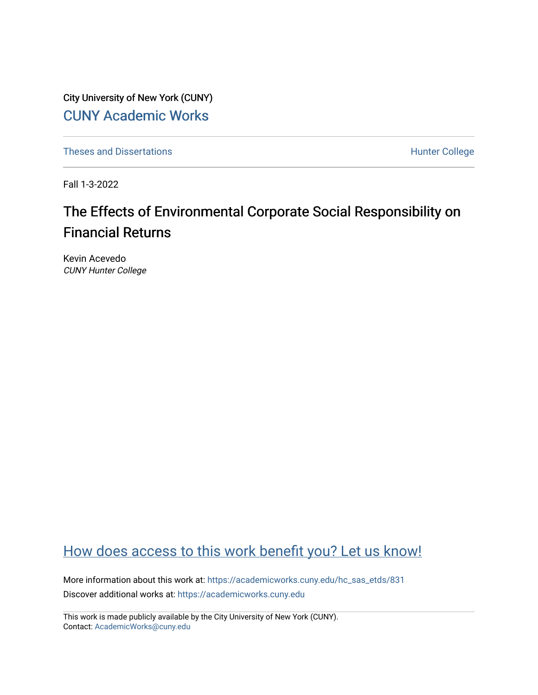City University of New York (CUNY) [CUNY Academic Works](https://academicworks.cuny.edu/) 

[Theses and Dissertations](https://academicworks.cuny.edu/hc_sas_etds) **Hunter College** 

Fall 1-3-2022

# The Effects of Environmental Corporate Social Responsibility on Financial Returns

Kevin Acevedo CUNY Hunter College

## [How does access to this work benefit you? Let us know!](http://ols.cuny.edu/academicworks/?ref=https://academicworks.cuny.edu/hc_sas_etds/831)

More information about this work at: [https://academicworks.cuny.edu/hc\\_sas\\_etds/831](https://academicworks.cuny.edu/hc_sas_etds/831)  Discover additional works at: [https://academicworks.cuny.edu](https://academicworks.cuny.edu/?)

This work is made publicly available by the City University of New York (CUNY). Contact: [AcademicWorks@cuny.edu](mailto:AcademicWorks@cuny.edu)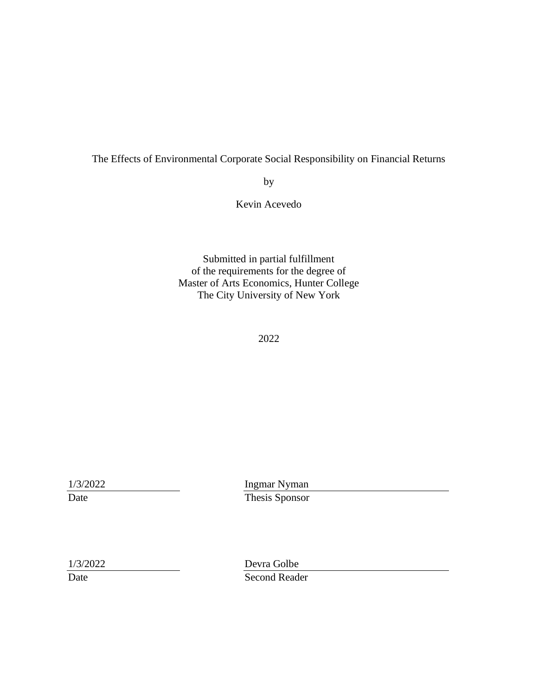## The Effects of Environmental Corporate Social Responsibility on Financial Returns

by

Kevin Acevedo

Submitted in partial fulfillment of the requirements for the degree of Master of Arts Economics, Hunter College The City University of New York

2022

1/3/2022 Ingmar Nyman Date Thesis Sponsor

1/3/2022 Devra Golbe Date Second Reader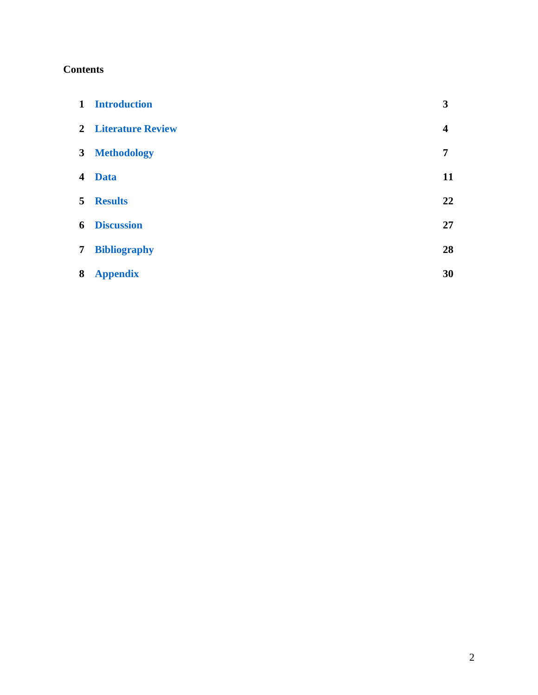## **Contents**

|                         | 1 Introduction             | 3                       |
|-------------------------|----------------------------|-------------------------|
|                         | <b>2</b> Literature Review | $\overline{\mathbf{4}}$ |
| $\mathbf{3}$            | <b>Methodology</b>         | 7                       |
| $\overline{\mathbf{4}}$ | <b>Data</b>                | 11                      |
| 5                       | <b>Results</b>             | 22                      |
| 6                       | <b>Discussion</b>          | 27                      |
| 7                       | <b>Bibliography</b>        | 28                      |
| 8                       | <b>Appendix</b>            | 30                      |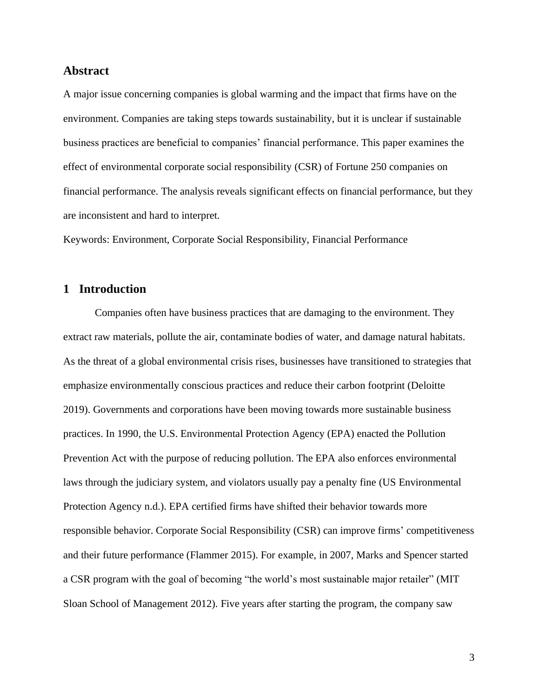#### **Abstract**

A major issue concerning companies is global warming and the impact that firms have on the environment. Companies are taking steps towards sustainability, but it is unclear if sustainable business practices are beneficial to companies' financial performance. This paper examines the effect of environmental corporate social responsibility (CSR) of Fortune 250 companies on financial performance. The analysis reveals significant effects on financial performance, but they are inconsistent and hard to interpret.

Keywords: Environment, Corporate Social Responsibility, Financial Performance

## <span id="page-3-0"></span>**1 Introduction**

Companies often have business practices that are damaging to the environment. They extract raw materials, pollute the air, contaminate bodies of water, and damage natural habitats. As the threat of a global environmental crisis rises, businesses have transitioned to strategies that emphasize environmentally conscious practices and reduce their carbon footprint (Deloitte 2019). Governments and corporations have been moving towards more sustainable business practices. In 1990, the U.S. Environmental Protection Agency (EPA) enacted the Pollution Prevention Act with the purpose of reducing pollution. The EPA also enforces environmental laws through the judiciary system, and violators usually pay a penalty fine (US Environmental Protection Agency n.d.). EPA certified firms have shifted their behavior towards more responsible behavior. Corporate Social Responsibility (CSR) can improve firms' competitiveness and their future performance (Flammer 2015). For example, in 2007, Marks and Spencer started a CSR program with the goal of becoming "the world's most sustainable major retailer" (MIT Sloan School of Management 2012). Five years after starting the program, the company saw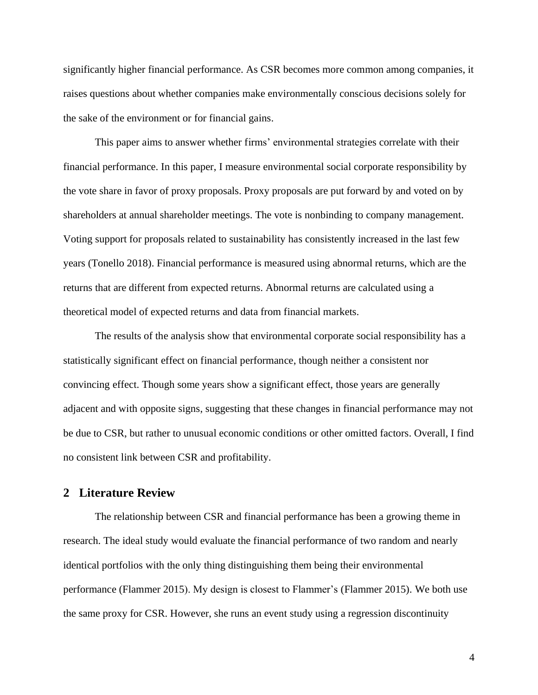significantly higher financial performance. As CSR becomes more common among companies, it raises questions about whether companies make environmentally conscious decisions solely for the sake of the environment or for financial gains.

This paper aims to answer whether firms' environmental strategies correlate with their financial performance. In this paper, I measure environmental social corporate responsibility by the vote share in favor of proxy proposals. Proxy proposals are put forward by and voted on by shareholders at annual shareholder meetings. The vote is nonbinding to company management. Voting support for proposals related to sustainability has consistently increased in the last few years (Tonello 2018). Financial performance is measured using abnormal returns, which are the returns that are different from expected returns. Abnormal returns are calculated using a theoretical model of expected returns and data from financial markets.

The results of the analysis show that environmental corporate social responsibility has a statistically significant effect on financial performance, though neither a consistent nor convincing effect. Though some years show a significant effect, those years are generally adjacent and with opposite signs, suggesting that these changes in financial performance may not be due to CSR, but rather to unusual economic conditions or other omitted factors. Overall, I find no consistent link between CSR and profitability.

## <span id="page-4-0"></span>**2 Literature Review**

The relationship between CSR and financial performance has been a growing theme in research. The ideal study would evaluate the financial performance of two random and nearly identical portfolios with the only thing distinguishing them being their environmental performance (Flammer 2015). My design is closest to Flammer's (Flammer 2015). We both use the same proxy for CSR. However, she runs an event study using a regression discontinuity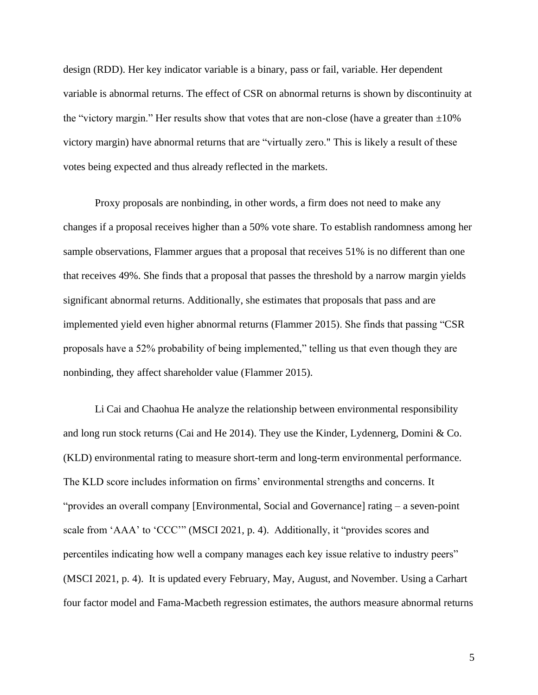design (RDD). Her key indicator variable is a binary, pass or fail, variable. Her dependent variable is abnormal returns. The effect of CSR on abnormal returns is shown by discontinuity at the "victory margin." Her results show that votes that are non-close (have a greater than  $\pm 10\%$ ) victory margin) have abnormal returns that are "virtually zero." This is likely a result of these votes being expected and thus already reflected in the markets.

Proxy proposals are nonbinding, in other words, a firm does not need to make any changes if a proposal receives higher than a 50% vote share. To establish randomness among her sample observations, Flammer argues that a proposal that receives 51% is no different than one that receives 49%. She finds that a proposal that passes the threshold by a narrow margin yields significant abnormal returns. Additionally, she estimates that proposals that pass and are implemented yield even higher abnormal returns (Flammer 2015). She finds that passing "CSR proposals have a 52% probability of being implemented," telling us that even though they are nonbinding, they affect shareholder value (Flammer 2015).

Li Cai and Chaohua He analyze the relationship between environmental responsibility and long run stock returns (Cai and He 2014). They use the Kinder, Lydennerg, Domini & Co. (KLD) environmental rating to measure short-term and long-term environmental performance. The KLD score includes information on firms' environmental strengths and concerns. It "provides an overall company [Environmental, Social and Governance] rating – a seven-point scale from 'AAA' to 'CCC'" (MSCI 2021, p. 4). Additionally, it "provides scores and percentiles indicating how well a company manages each key issue relative to industry peers" (MSCI 2021, p. 4). It is updated every February, May, August, and November. Using a Carhart four factor model and Fama-Macbeth regression estimates, the authors measure abnormal returns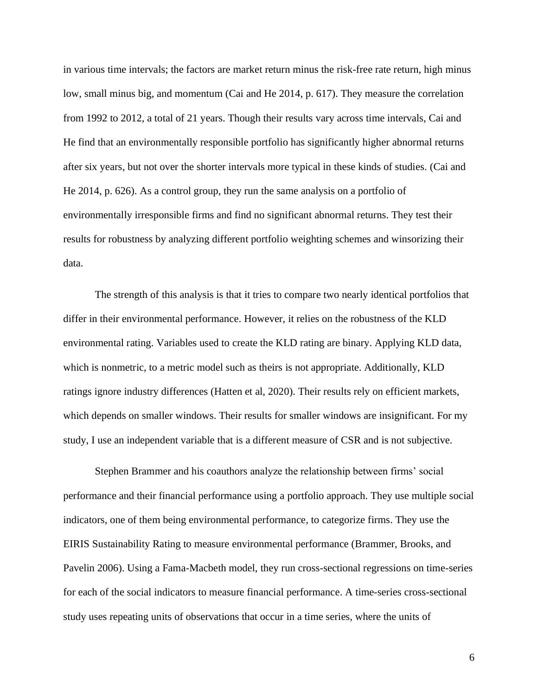in various time intervals; the factors are market return minus the risk-free rate return, high minus low, small minus big, and momentum (Cai and He 2014, p. 617). They measure the correlation from 1992 to 2012, a total of 21 years. Though their results vary across time intervals, Cai and He find that an environmentally responsible portfolio has significantly higher abnormal returns after six years, but not over the shorter intervals more typical in these kinds of studies. (Cai and He 2014, p. 626). As a control group, they run the same analysis on a portfolio of environmentally irresponsible firms and find no significant abnormal returns. They test their results for robustness by analyzing different portfolio weighting schemes and winsorizing their data.

The strength of this analysis is that it tries to compare two nearly identical portfolios that differ in their environmental performance. However, it relies on the robustness of the KLD environmental rating. Variables used to create the KLD rating are binary. Applying KLD data, which is nonmetric, to a metric model such as theirs is not appropriate. Additionally, KLD ratings ignore industry differences (Hatten et al, 2020). Their results rely on efficient markets, which depends on smaller windows. Their results for smaller windows are insignificant. For my study, I use an independent variable that is a different measure of CSR and is not subjective.

Stephen Brammer and his coauthors analyze the relationship between firms' social performance and their financial performance using a portfolio approach. They use multiple social indicators, one of them being environmental performance, to categorize firms. They use the EIRIS Sustainability Rating to measure environmental performance (Brammer, Brooks, and Pavelin 2006). Using a Fama-Macbeth model, they run cross-sectional regressions on time-series for each of the social indicators to measure financial performance. A time-series cross-sectional study uses repeating units of observations that occur in a time series, where the units of

6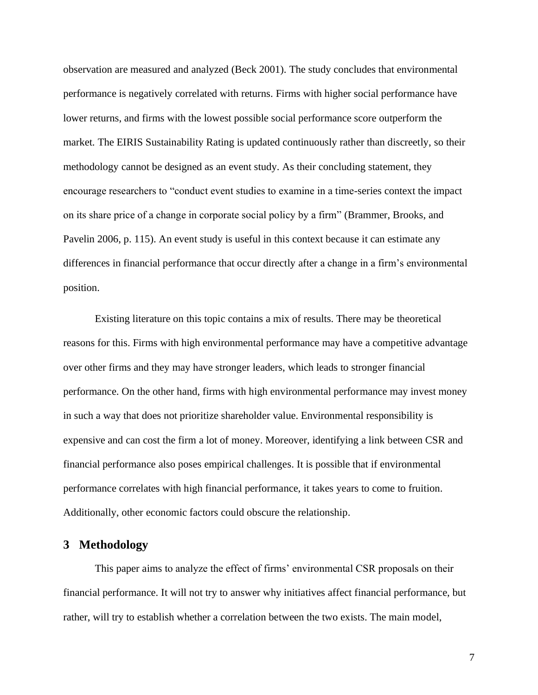observation are measured and analyzed (Beck 2001). The study concludes that environmental performance is negatively correlated with returns. Firms with higher social performance have lower returns, and firms with the lowest possible social performance score outperform the market. The EIRIS Sustainability Rating is updated continuously rather than discreetly, so their methodology cannot be designed as an event study. As their concluding statement, they encourage researchers to "conduct event studies to examine in a time-series context the impact on its share price of a change in corporate social policy by a firm" (Brammer, Brooks, and Pavelin 2006, p. 115). An event study is useful in this context because it can estimate any differences in financial performance that occur directly after a change in a firm's environmental position.

Existing literature on this topic contains a mix of results. There may be theoretical reasons for this. Firms with high environmental performance may have a competitive advantage over other firms and they may have stronger leaders, which leads to stronger financial performance. On the other hand, firms with high environmental performance may invest money in such a way that does not prioritize shareholder value. Environmental responsibility is expensive and can cost the firm a lot of money. Moreover, identifying a link between CSR and financial performance also poses empirical challenges. It is possible that if environmental performance correlates with high financial performance, it takes years to come to fruition. Additionally, other economic factors could obscure the relationship.

#### <span id="page-7-0"></span>**3 Methodology**

This paper aims to analyze the effect of firms' environmental CSR proposals on their financial performance. It will not try to answer why initiatives affect financial performance, but rather, will try to establish whether a correlation between the two exists. The main model,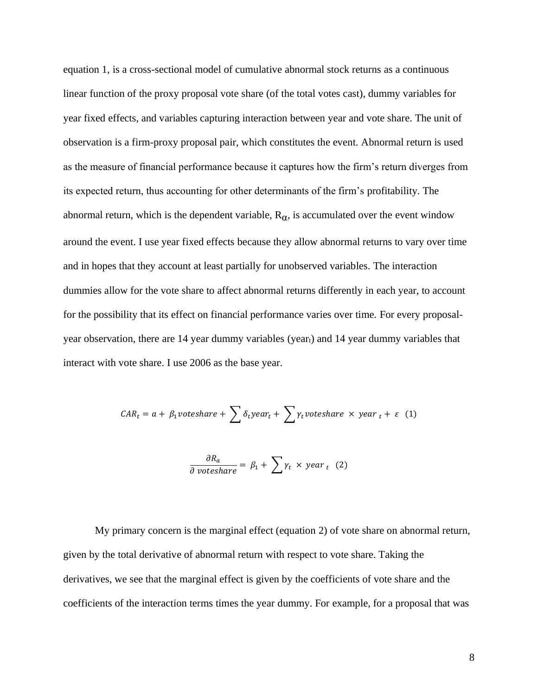equation 1, is a cross-sectional model of cumulative abnormal stock returns as a continuous linear function of the proxy proposal vote share (of the total votes cast), dummy variables for year fixed effects, and variables capturing interaction between year and vote share. The unit of observation is a firm-proxy proposal pair, which constitutes the event. Abnormal return is used as the measure of financial performance because it captures how the firm's return diverges from its expected return, thus accounting for other determinants of the firm's profitability. The abnormal return, which is the dependent variable,  $R_{\alpha}$ , is accumulated over the event window around the event. I use year fixed effects because they allow abnormal returns to vary over time and in hopes that they account at least partially for unobserved variables. The interaction dummies allow for the vote share to affect abnormal returns differently in each year, to account for the possibility that its effect on financial performance varies over time. For every proposalyear observation, there are 14 year dummy variables (yeart) and 14 year dummy variables that interact with vote share. I use 2006 as the base year.

$$
CAR_t = a + \beta_1 \nu oteshare + \sum \delta_t \nu ear_t + \sum \gamma_t \nu oteshare \times \nu ear_t + \varepsilon
$$
 (1)

$$
\frac{\partial R_a}{\partial \ votpsilon \sin r} = \beta_1 + \sum \gamma_t \times \text{year}_t \quad (2)
$$

My primary concern is the marginal effect (equation 2) of vote share on abnormal return, given by the total derivative of abnormal return with respect to vote share. Taking the derivatives, we see that the marginal effect is given by the coefficients of vote share and the coefficients of the interaction terms times the year dummy. For example, for a proposal that was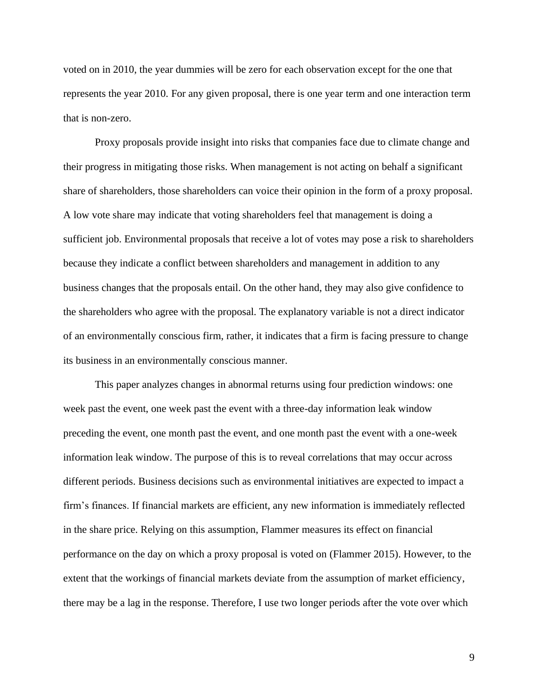voted on in 2010, the year dummies will be zero for each observation except for the one that represents the year 2010. For any given proposal, there is one year term and one interaction term that is non-zero.

Proxy proposals provide insight into risks that companies face due to climate change and their progress in mitigating those risks. When management is not acting on behalf a significant share of shareholders, those shareholders can voice their opinion in the form of a proxy proposal. A low vote share may indicate that voting shareholders feel that management is doing a sufficient job. Environmental proposals that receive a lot of votes may pose a risk to shareholders because they indicate a conflict between shareholders and management in addition to any business changes that the proposals entail. On the other hand, they may also give confidence to the shareholders who agree with the proposal. The explanatory variable is not a direct indicator of an environmentally conscious firm, rather, it indicates that a firm is facing pressure to change its business in an environmentally conscious manner.

This paper analyzes changes in abnormal returns using four prediction windows: one week past the event, one week past the event with a three-day information leak window preceding the event, one month past the event, and one month past the event with a one-week information leak window. The purpose of this is to reveal correlations that may occur across different periods. Business decisions such as environmental initiatives are expected to impact a firm's finances. If financial markets are efficient, any new information is immediately reflected in the share price. Relying on this assumption, Flammer measures its effect on financial performance on the day on which a proxy proposal is voted on (Flammer 2015). However, to the extent that the workings of financial markets deviate from the assumption of market efficiency, there may be a lag in the response. Therefore, I use two longer periods after the vote over which

9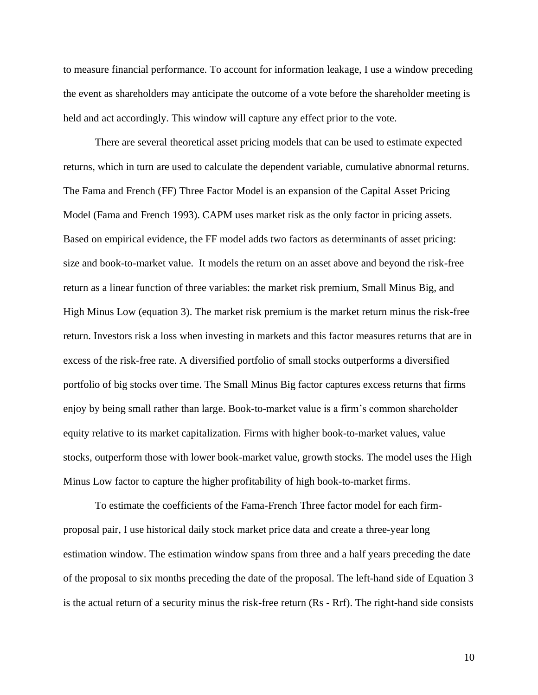to measure financial performance. To account for information leakage, I use a window preceding the event as shareholders may anticipate the outcome of a vote before the shareholder meeting is held and act accordingly. This window will capture any effect prior to the vote.

There are several theoretical asset pricing models that can be used to estimate expected returns, which in turn are used to calculate the dependent variable, cumulative abnormal returns. The Fama and French (FF) Three Factor Model is an expansion of the Capital Asset Pricing Model (Fama and French 1993). CAPM uses market risk as the only factor in pricing assets. Based on empirical evidence, the FF model adds two factors as determinants of asset pricing: size and book-to-market value. It models the return on an asset above and beyond the risk-free return as a linear function of three variables: the market risk premium, Small Minus Big, and High Minus Low (equation 3). The market risk premium is the market return minus the risk-free return. Investors risk a loss when investing in markets and this factor measures returns that are in excess of the risk-free rate. A diversified portfolio of small stocks outperforms a diversified portfolio of big stocks over time. The Small Minus Big factor captures excess returns that firms enjoy by being small rather than large. Book-to-market value is a firm's common shareholder equity relative to its market capitalization. Firms with higher book-to-market values, value stocks, outperform those with lower book-market value, growth stocks. The model uses the High Minus Low factor to capture the higher profitability of high book-to-market firms.

To estimate the coefficients of the Fama-French Three factor model for each firmproposal pair, I use historical daily stock market price data and create a three-year long estimation window. The estimation window spans from three and a half years preceding the date of the proposal to six months preceding the date of the proposal. The left-hand side of Equation 3 is the actual return of a security minus the risk-free return (Rs - Rrf). The right-hand side consists

10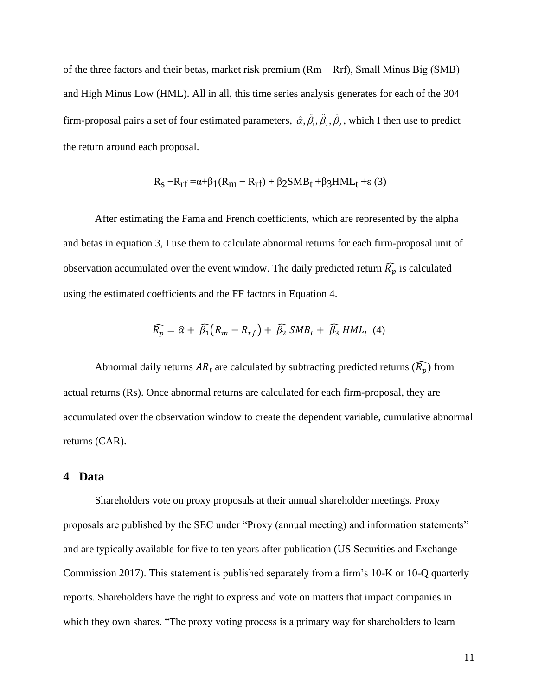of the three factors and their betas, market risk premium (Rm − Rrf), Small Minus Big (SMB) and High Minus Low (HML). All in all, this time series analysis generates for each of the 304 firm-proposal pairs a set of four estimated parameters,  $\hat{\alpha}, \beta_1, \beta_2, \beta_2$  $\hat{\alpha}, \hat{\beta}_1, \hat{\beta}_2, \hat{\beta}_2$ , which I then use to predict the return around each proposal.

$$
R_S - R_{rf} = \alpha + \beta_1 (R_m - R_{rf}) + \beta_2 SMB_t + \beta_3 HML_t + \varepsilon (3)
$$

After estimating the Fama and French coefficients, which are represented by the alpha and betas in equation 3, I use them to calculate abnormal returns for each firm-proposal unit of observation accumulated over the event window. The daily predicted return  $\widehat{R_p}$  is calculated using the estimated coefficients and the FF factors in Equation 4.

$$
\widehat{R_p} = \widehat{\alpha} + \widehat{\beta_1} (R_m - R_{rf}) + \widehat{\beta_2} \, SMB_t + \widehat{\beta_3} \, HML_t \, (4)
$$

Abnormal daily returns  $AR_t$  are calculated by subtracting predicted returns  $(\widehat{R_p})$  from actual returns (Rs). Once abnormal returns are calculated for each firm-proposal, they are accumulated over the observation window to create the dependent variable, cumulative abnormal returns (CAR).

#### <span id="page-11-0"></span>**4 Data**

Shareholders vote on proxy proposals at their annual shareholder meetings. Proxy proposals are published by the SEC under "Proxy (annual meeting) and information statements" and are typically available for five to ten years after publication (US Securities and Exchange Commission 2017). This statement is published separately from a firm's 10-K or 10-Q quarterly reports. Shareholders have the right to express and vote on matters that impact companies in which they own shares. "The proxy voting process is a primary way for shareholders to learn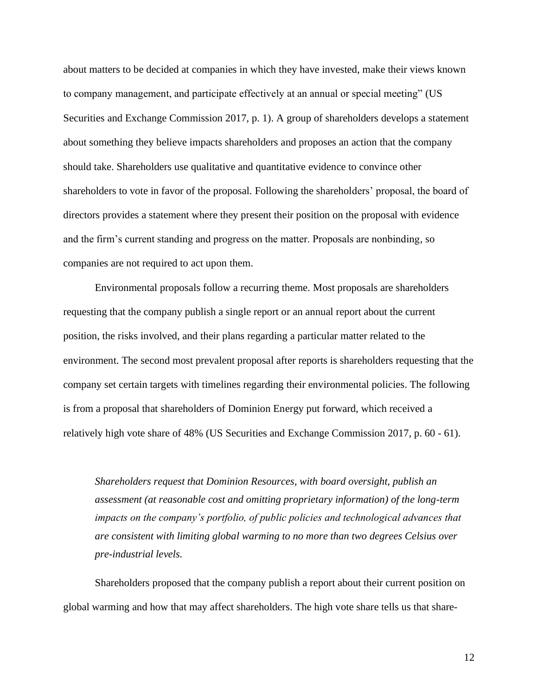about matters to be decided at companies in which they have invested, make their views known to company management, and participate effectively at an annual or special meeting" (US Securities and Exchange Commission 2017, p. 1). A group of shareholders develops a statement about something they believe impacts shareholders and proposes an action that the company should take. Shareholders use qualitative and quantitative evidence to convince other shareholders to vote in favor of the proposal. Following the shareholders' proposal, the board of directors provides a statement where they present their position on the proposal with evidence and the firm's current standing and progress on the matter. Proposals are nonbinding, so companies are not required to act upon them.

Environmental proposals follow a recurring theme. Most proposals are shareholders requesting that the company publish a single report or an annual report about the current position, the risks involved, and their plans regarding a particular matter related to the environment. The second most prevalent proposal after reports is shareholders requesting that the company set certain targets with timelines regarding their environmental policies. The following is from a proposal that shareholders of Dominion Energy put forward, which received a relatively high vote share of 48% (US Securities and Exchange Commission 2017, p. 60 - 61).

*Shareholders request that Dominion Resources, with board oversight, publish an assessment (at reasonable cost and omitting proprietary information) of the long-term impacts on the company's portfolio, of public policies and technological advances that are consistent with limiting global warming to no more than two degrees Celsius over pre-industrial levels.* 

Shareholders proposed that the company publish a report about their current position on global warming and how that may affect shareholders. The high vote share tells us that share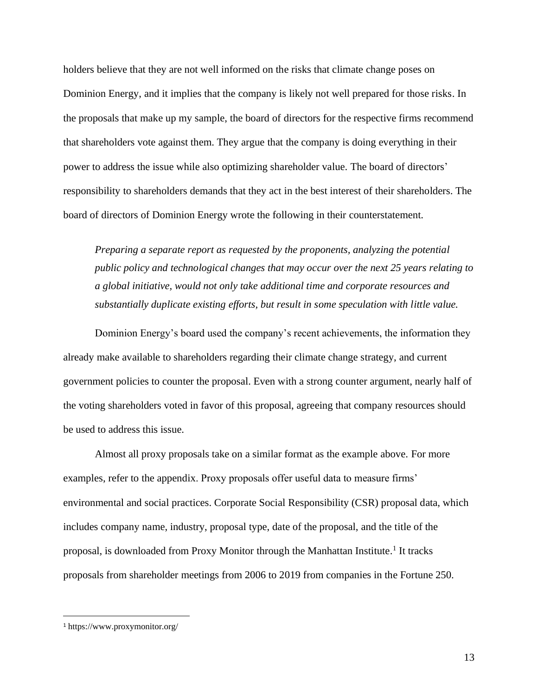holders believe that they are not well informed on the risks that climate change poses on Dominion Energy, and it implies that the company is likely not well prepared for those risks. In the proposals that make up my sample, the board of directors for the respective firms recommend that shareholders vote against them. They argue that the company is doing everything in their power to address the issue while also optimizing shareholder value. The board of directors' responsibility to shareholders demands that they act in the best interest of their shareholders. The board of directors of Dominion Energy wrote the following in their counterstatement.

*Preparing a separate report as requested by the proponents, analyzing the potential public policy and technological changes that may occur over the next 25 years relating to a global initiative, would not only take additional time and corporate resources and substantially duplicate existing efforts, but result in some speculation with little value.* 

Dominion Energy's board used the company's recent achievements, the information they already make available to shareholders regarding their climate change strategy, and current government policies to counter the proposal. Even with a strong counter argument, nearly half of the voting shareholders voted in favor of this proposal, agreeing that company resources should be used to address this issue.

Almost all proxy proposals take on a similar format as the example above. For more examples, refer to the appendix. Proxy proposals offer useful data to measure firms' environmental and social practices. Corporate Social Responsibility (CSR) proposal data, which includes company name, industry, proposal type, date of the proposal, and the title of the proposal, is downloaded from Proxy Monitor through the Manhattan Institute.<sup>1</sup> It tracks proposals from shareholder meetings from 2006 to 2019 from companies in the Fortune 250.

<sup>1</sup> https://www.proxymonitor.org/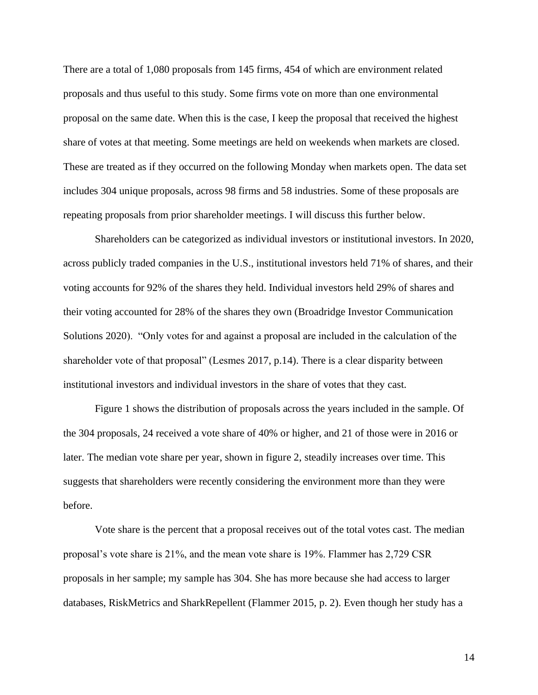There are a total of 1,080 proposals from 145 firms, 454 of which are environment related proposals and thus useful to this study. Some firms vote on more than one environmental proposal on the same date. When this is the case, I keep the proposal that received the highest share of votes at that meeting. Some meetings are held on weekends when markets are closed. These are treated as if they occurred on the following Monday when markets open. The data set includes 304 unique proposals, across 98 firms and 58 industries. Some of these proposals are repeating proposals from prior shareholder meetings. I will discuss this further below.

Shareholders can be categorized as individual investors or institutional investors. In 2020, across publicly traded companies in the U.S., institutional investors held 71% of shares, and their voting accounts for 92% of the shares they held. Individual investors held 29% of shares and their voting accounted for 28% of the shares they own (Broadridge Investor Communication Solutions 2020). "Only votes for and against a proposal are included in the calculation of the shareholder vote of that proposal" (Lesmes 2017, p.14). There is a clear disparity between institutional investors and individual investors in the share of votes that they cast.

Figure 1 shows the distribution of proposals across the years included in the sample. Of the 304 proposals, 24 received a vote share of 40% or higher, and 21 of those were in 2016 or later. The median vote share per year, shown in figure 2, steadily increases over time. This suggests that shareholders were recently considering the environment more than they were before.

Vote share is the percent that a proposal receives out of the total votes cast. The median proposal's vote share is 21%, and the mean vote share is 19%. Flammer has 2,729 CSR proposals in her sample; my sample has 304. She has more because she had access to larger databases, RiskMetrics and SharkRepellent (Flammer 2015, p. 2). Even though her study has a

14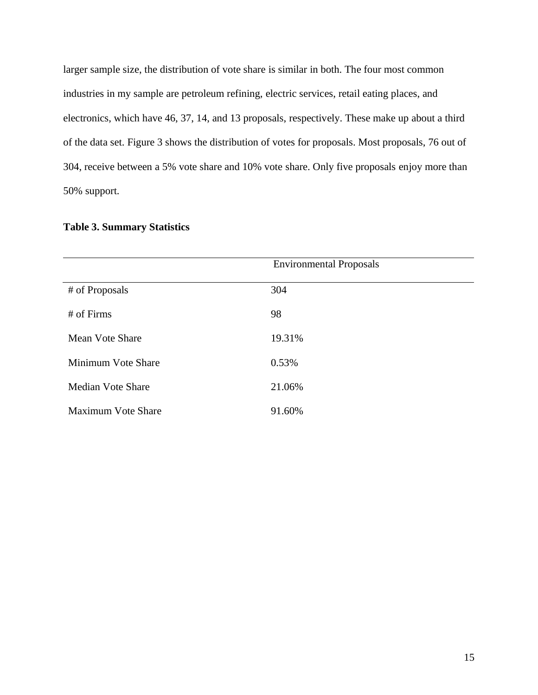larger sample size, the distribution of vote share is similar in both. The four most common industries in my sample are petroleum refining, electric services, retail eating places, and electronics, which have 46, 37, 14, and 13 proposals, respectively. These make up about a third of the data set. Figure 3 shows the distribution of votes for proposals. Most proposals, 76 out of 304, receive between a 5% vote share and 10% vote share. Only five proposals enjoy more than 50% support.

|                           | <b>Environmental Proposals</b> |
|---------------------------|--------------------------------|
| # of Proposals            | 304                            |
| # of Firms                | 98                             |
| Mean Vote Share           | 19.31%                         |
| Minimum Vote Share        | 0.53%                          |
| Median Vote Share         | 21.06%                         |
| <b>Maximum Vote Share</b> | 91.60%                         |

## **Table 3. Summary Statistics**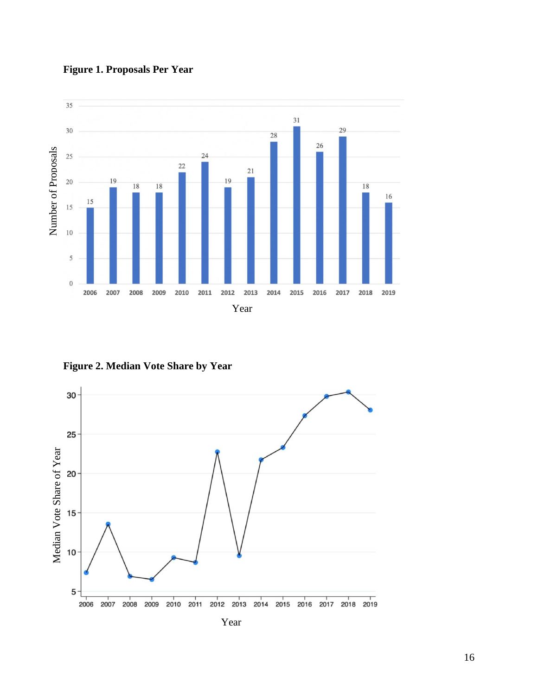



**Figure 2. Median Vote Share by Year** 

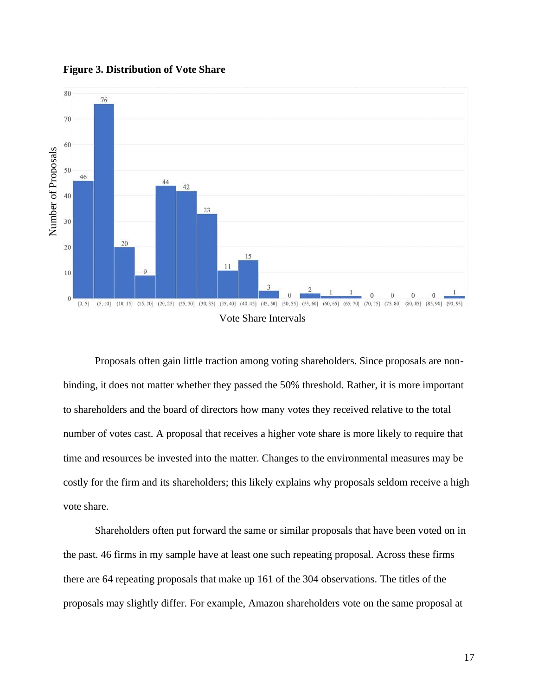

#### **Figure 3. Distribution of Vote Share**

Proposals often gain little traction among voting shareholders. Since proposals are nonbinding, it does not matter whether they passed the 50% threshold. Rather, it is more important to shareholders and the board of directors how many votes they received relative to the total number of votes cast. A proposal that receives a higher vote share is more likely to require that time and resources be invested into the matter. Changes to the environmental measures may be costly for the firm and its shareholders; this likely explains why proposals seldom receive a high vote share.

Shareholders often put forward the same or similar proposals that have been voted on in the past. 46 firms in my sample have at least one such repeating proposal. Across these firms there are 64 repeating proposals that make up 161 of the 304 observations. The titles of the proposals may slightly differ. For example, Amazon shareholders vote on the same proposal at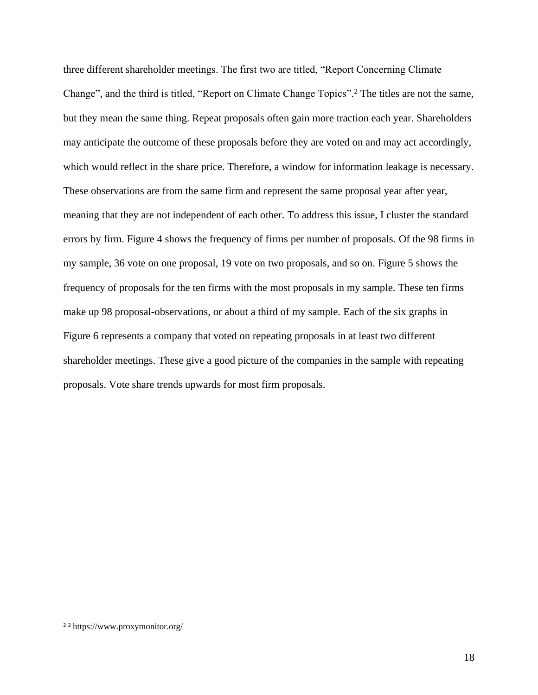three different shareholder meetings. The first two are titled, "Report Concerning Climate Change", and the third is titled, "Report on Climate Change Topics".<sup>2</sup> The titles are not the same, but they mean the same thing. Repeat proposals often gain more traction each year. Shareholders may anticipate the outcome of these proposals before they are voted on and may act accordingly, which would reflect in the share price. Therefore, a window for information leakage is necessary. These observations are from the same firm and represent the same proposal year after year, meaning that they are not independent of each other. To address this issue, I cluster the standard errors by firm. Figure 4 shows the frequency of firms per number of proposals. Of the 98 firms in my sample, 36 vote on one proposal, 19 vote on two proposals, and so on. Figure 5 shows the frequency of proposals for the ten firms with the most proposals in my sample. These ten firms make up 98 proposal-observations, or about a third of my sample. Each of the six graphs in Figure 6 represents a company that voted on repeating proposals in at least two different shareholder meetings. These give a good picture of the companies in the sample with repeating proposals. Vote share trends upwards for most firm proposals.

<sup>2</sup> <sup>2</sup> https://www.proxymonitor.org/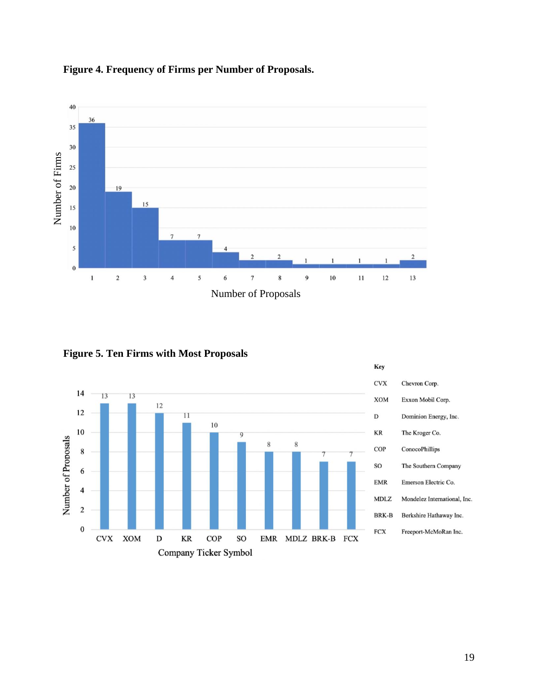

## **Figure 4. Frequency of Firms per Number of Proposals.**

**Figure 5. Ten Firms with Most Proposals** 

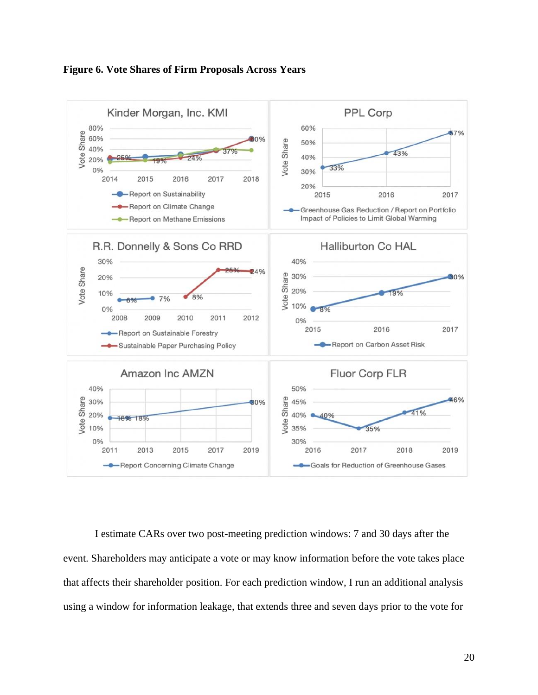



I estimate CARs over two post-meeting prediction windows: 7 and 30 days after the event. Shareholders may anticipate a vote or may know information before the vote takes place that affects their shareholder position. For each prediction window, I run an additional analysis using a window for information leakage, that extends three and seven days prior to the vote for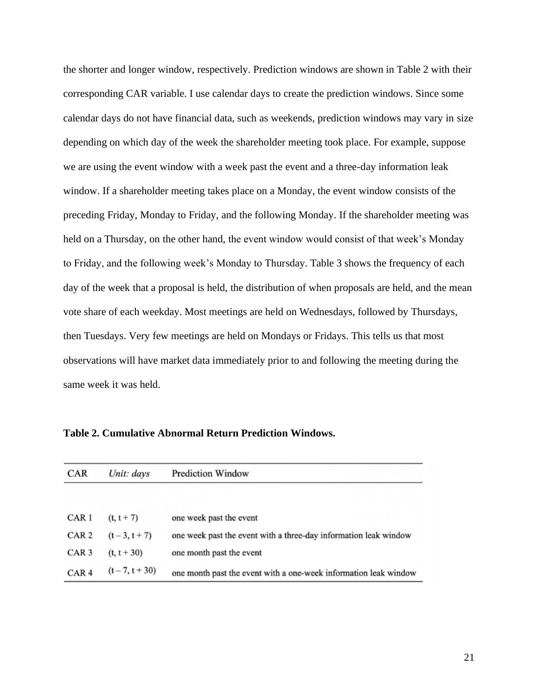the shorter and longer window, respectively. Prediction windows are shown in Table 2 with their corresponding CAR variable. I use calendar days to create the prediction windows. Since some calendar days do not have financial data, such as weekends, prediction windows may vary in size depending on which day of the week the shareholder meeting took place. For example, suppose we are using the event window with a week past the event and a three-day information leak window. If a shareholder meeting takes place on a Monday, the event window consists of the preceding Friday, Monday to Friday, and the following Monday. If the shareholder meeting was held on a Thursday, on the other hand, the event window would consist of that week's Monday to Friday, and the following week's Monday to Thursday. Table 3 shows the frequency of each day of the week that a proposal is held, the distribution of when proposals are held, and the mean vote share of each weekday. Most meetings are held on Wednesdays, followed by Thursdays, then Tuesdays. Very few meetings are held on Mondays or Fridays. This tells us that most observations will have market data immediately prior to and following the meeting during the same week it was held.

| <b>CAR</b>       | Unit: days        | <b>Prediction Window</b>                                         |
|------------------|-------------------|------------------------------------------------------------------|
| CAR <sub>1</sub> | $(t, t + 7)$      | one week past the event                                          |
| CAR <sub>2</sub> | $(t-3, t+7)$      | one week past the event with a three-day information leak window |
| CAR <sub>3</sub> | $(t, t + 30)$     | one month past the event                                         |
| CAR <sub>4</sub> | $(t - 7, t + 30)$ | one month past the event with a one-week information leak window |

**Table 2. Cumulative Abnormal Return Prediction Windows.**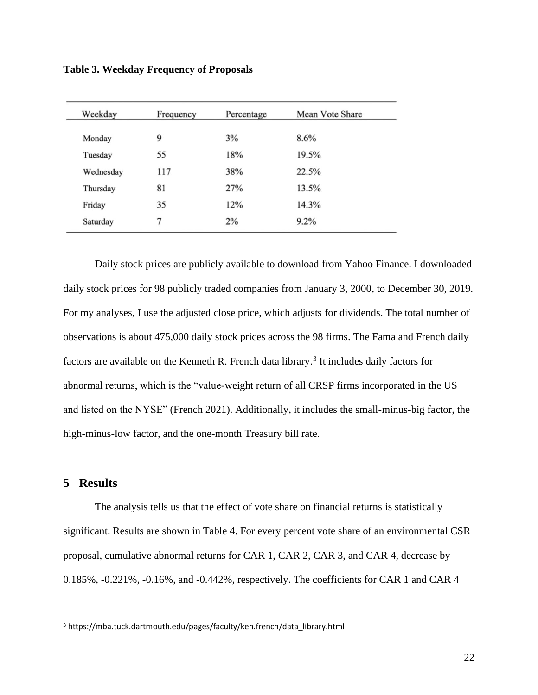**Table 3. Weekday Frequency of Proposals** 

| Weekday   | Frequency | Percentage | Mean Vote Share |
|-----------|-----------|------------|-----------------|
| Monday    | 9         | 3%         | 8.6%            |
| Tuesday   | 55        | 18%        | 19.5%           |
| Wednesday | 117       | 38%        | 22.5%           |
| Thursday  | 81        | 27%        | 13.5%           |
| Friday    | 35        | 12%        | 14.3%           |
| Saturday  | 7         | 2%         | 9.2%            |

Daily stock prices are publicly available to download from Yahoo Finance. I downloaded daily stock prices for 98 publicly traded companies from January 3, 2000, to December 30, 2019. For my analyses, I use the adjusted close price, which adjusts for dividends. The total number of observations is about 475,000 daily stock prices across the 98 firms. The Fama and French daily factors are available on the Kenneth R. French data library.<sup>3</sup> It includes daily factors for abnormal returns, which is the "value-weight return of all CRSP firms incorporated in the US and listed on the NYSE" (French 2021). Additionally, it includes the small-minus-big factor, the high-minus-low factor, and the one-month Treasury bill rate.

## <span id="page-22-0"></span>**5 Results**

The analysis tells us that the effect of vote share on financial returns is statistically significant. Results are shown in Table 4. For every percent vote share of an environmental CSR proposal, cumulative abnormal returns for CAR 1, CAR 2, CAR 3, and CAR 4, decrease by – 0.185%, -0.221%, -0.16%, and -0.442%, respectively. The coefficients for CAR 1 and CAR 4

<sup>3</sup> https://mba.tuck.dartmouth.edu/pages/faculty/ken.french/data\_library.html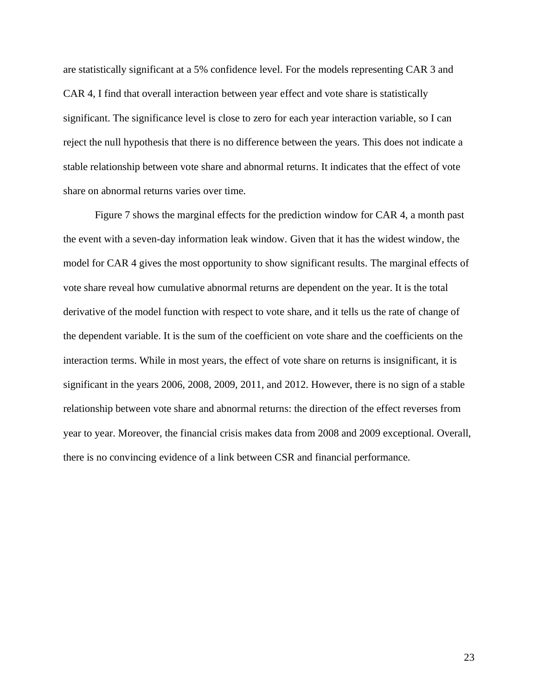are statistically significant at a 5% confidence level. For the models representing CAR 3 and CAR 4, I find that overall interaction between year effect and vote share is statistically significant. The significance level is close to zero for each year interaction variable, so I can reject the null hypothesis that there is no difference between the years. This does not indicate a stable relationship between vote share and abnormal returns. It indicates that the effect of vote share on abnormal returns varies over time.

Figure 7 shows the marginal effects for the prediction window for CAR 4, a month past the event with a seven-day information leak window. Given that it has the widest window, the model for CAR 4 gives the most opportunity to show significant results. The marginal effects of vote share reveal how cumulative abnormal returns are dependent on the year. It is the total derivative of the model function with respect to vote share, and it tells us the rate of change of the dependent variable. It is the sum of the coefficient on vote share and the coefficients on the interaction terms. While in most years, the effect of vote share on returns is insignificant, it is significant in the years 2006, 2008, 2009, 2011, and 2012. However, there is no sign of a stable relationship between vote share and abnormal returns: the direction of the effect reverses from year to year. Moreover, the financial crisis makes data from 2008 and 2009 exceptional. Overall, there is no convincing evidence of a link between CSR and financial performance.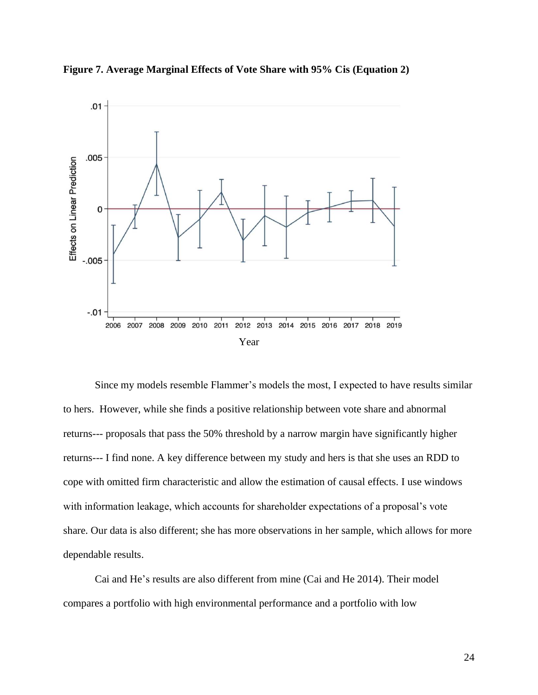



Since my models resemble Flammer's models the most, I expected to have results similar to hers. However, while she finds a positive relationship between vote share and abnormal returns--- proposals that pass the 50% threshold by a narrow margin have significantly higher returns--- I find none. A key difference between my study and hers is that she uses an RDD to cope with omitted firm characteristic and allow the estimation of causal effects. I use windows with information leakage, which accounts for shareholder expectations of a proposal's vote share. Our data is also different; she has more observations in her sample, which allows for more dependable results.

Cai and He's results are also different from mine (Cai and He 2014). Their model compares a portfolio with high environmental performance and a portfolio with low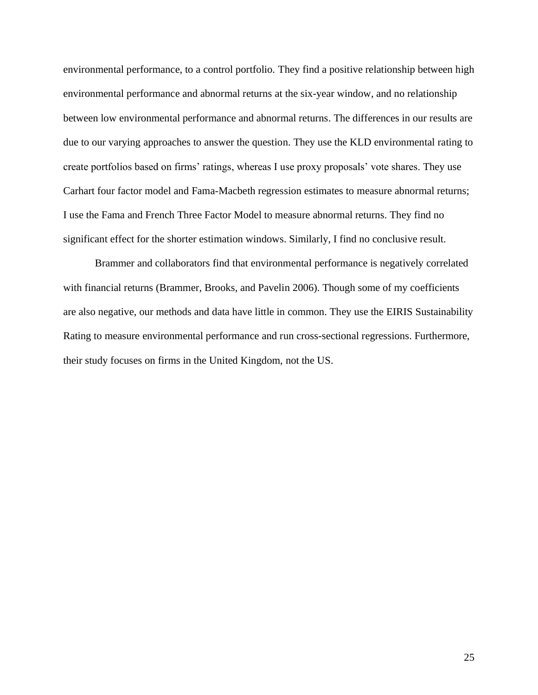environmental performance, to a control portfolio. They find a positive relationship between high environmental performance and abnormal returns at the six-year window, and no relationship between low environmental performance and abnormal returns. The differences in our results are due to our varying approaches to answer the question. They use the KLD environmental rating to create portfolios based on firms' ratings, whereas I use proxy proposals' vote shares. They use Carhart four factor model and Fama-Macbeth regression estimates to measure abnormal returns; I use the Fama and French Three Factor Model to measure abnormal returns. They find no significant effect for the shorter estimation windows. Similarly, I find no conclusive result.

Brammer and collaborators find that environmental performance is negatively correlated with financial returns (Brammer, Brooks, and Pavelin 2006). Though some of my coefficients are also negative, our methods and data have little in common. They use the EIRIS Sustainability Rating to measure environmental performance and run cross-sectional regressions. Furthermore, their study focuses on firms in the United Kingdom, not the US.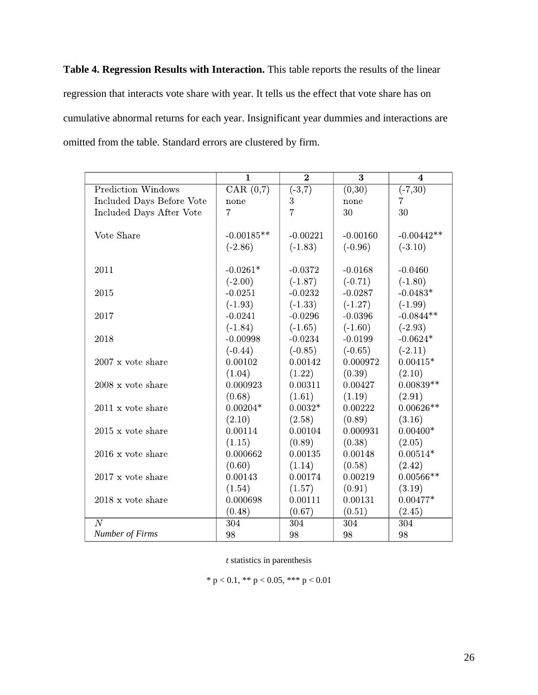**Table 4. Regression Results with Interaction.** This table reports the results of the linear regression that interacts vote share with year. It tells us the effect that vote share has on cumulative abnormal returns for each year. Insignificant year dummies and interactions are omitted from the table. Standard errors are clustered by firm.

|                                 | $\overline{\mathbf{1}}$      | $\overline{2}$      | $\overline{\mathbf{3}}$ | $\overline{\mathbf{4}}$ |
|---------------------------------|------------------------------|---------------------|-------------------------|-------------------------|
| <b>Prediction Windows</b>       | $\overline{\text{CAR}(0,7)}$ | $\overline{(-3,7)}$ | $\overline{(0,30)}$     | $\overline{(-7,30)}$    |
| Included Days Before Vote       | none                         | $\boldsymbol{3}$    | none                    | $\overline{7}$          |
| Included Days After Vote        | $\overline{7}$               | $\overline{7}$      | 30                      | 30                      |
|                                 |                              |                     |                         |                         |
| Vote Share                      | $-0.00185**$                 | $-0.00221$          | $-0.00160$              | $-0.00442**$            |
|                                 | $(-2.86)$                    | $(-1.83)$           | $(-0.96)$               | $(-3.10)$               |
|                                 |                              |                     |                         |                         |
| 2011                            | $-0.0261*$                   | $-0.0372$           | $-0.0168$               | $-0.0460$               |
|                                 | $(-2.00)$                    | $(-1.87)$           | $(-0.71)$               | $(-1.80)$               |
| 2015                            | $-0.0251$                    | $-0.0232$           | $-0.0287$               | $-0.0483*$              |
|                                 | $(-1.93)$                    | $(-1.33)$           | $(-1.27)$               | $(-1.99)$               |
| 2017                            | $-0.0241$                    | $-0.0296$           | $-0.0396$               | $-0.0844**$             |
|                                 | $(-1.84)$                    | $(-1.65)$           | $(-1.60)$               | $(-2.93)$               |
| 2018                            | $-0.00998$                   | $-0.0234$           | $-0.0199$               | $-0.0624*$              |
|                                 | $(-0.44)$                    | $(-0.85)$           | $(-0.65)$               | $(-2.11)$               |
| $2007 \times \text{vote share}$ | 0.00102                      | 0.00142             | 0.000972                | $0.00415*$              |
|                                 | (1.04)                       | (1.22)              | (0.39)                  | (2.10)                  |
| $2008 \times \text{vote share}$ | 0.000923                     | 0.00311             | 0.00427                 | $0.00839**$             |
|                                 | (0.68)                       | (1.61)              | (1.19)                  | (2.91)                  |
| $2011 \times \text{vote share}$ | $0.00204*$                   | $0.0032*$           | 0.00222                 | $0.00626**$             |
|                                 | (2.10)                       | (2.58)              | (0.89)                  | (3.16)                  |
| $2015$ x vote share             | 0.00114                      | 0.00104             | 0.000931                | $0.00400*$              |
|                                 | (1.15)                       | (0.89)              | (0.38)                  | (2.05)                  |
| $2016 \times \text{vote share}$ | 0.000662                     | 0.00135             | 0.00148                 | $0.00514*$              |
|                                 | (0.60)                       | (1.14)              | (0.58)                  | (2.42)                  |
| $2017 \times \text{vote share}$ | 0.00143                      | 0.00174             | 0.00219                 | $0.00566**$             |
|                                 | (1.54)                       | (1.57)              | (0.91)                  | (3.19)                  |
| $2018 \times \text{vote share}$ | 0.000698                     | 0.00111             | 0.00131                 | $0.00477*$              |
|                                 | (0.48)                       | (0.67)              | (0.51)                  | (2.45)                  |
| $\overline{N}$                  | 304                          | 304                 | 304                     | 304                     |
| Number of Firms                 | 98                           | 98                  | 98                      | 98                      |

*t* statistics in parenthesis

\* p < 0.1, \*\* p < 0.05, \*\*\* p < 0.01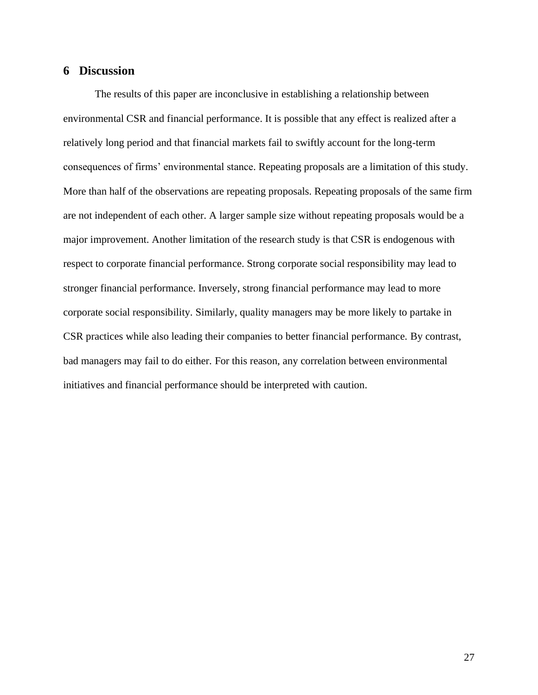## <span id="page-27-0"></span>**6 Discussion**

The results of this paper are inconclusive in establishing a relationship between environmental CSR and financial performance. It is possible that any effect is realized after a relatively long period and that financial markets fail to swiftly account for the long-term consequences of firms' environmental stance. Repeating proposals are a limitation of this study. More than half of the observations are repeating proposals. Repeating proposals of the same firm are not independent of each other. A larger sample size without repeating proposals would be a major improvement. Another limitation of the research study is that CSR is endogenous with respect to corporate financial performance. Strong corporate social responsibility may lead to stronger financial performance. Inversely, strong financial performance may lead to more corporate social responsibility. Similarly, quality managers may be more likely to partake in CSR practices while also leading their companies to better financial performance. By contrast, bad managers may fail to do either. For this reason, any correlation between environmental initiatives and financial performance should be interpreted with caution.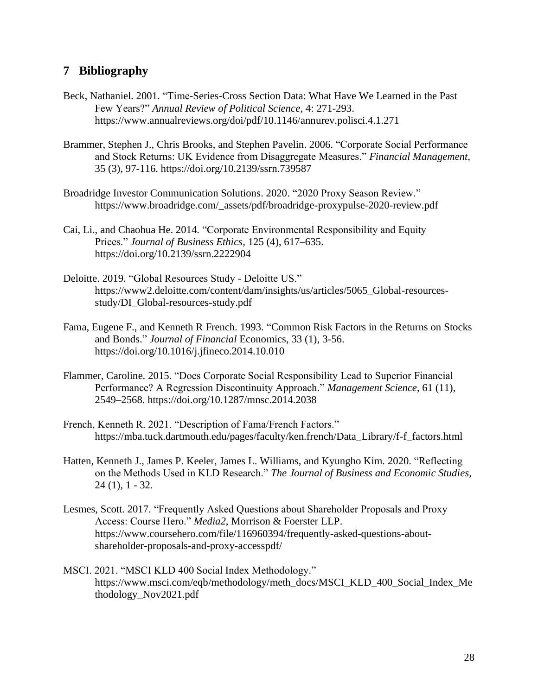## <span id="page-28-0"></span>**7 Bibliography**

- Beck, Nathaniel. 2001. "Time-Series-Cross Section Data: What Have We Learned in the Past Few Years?" *Annual Review of Political Science,* 4: 271-293. https://www.annualreviews.org/doi/pdf/10.1146/annurev.polisci.4.1.271
- Brammer, Stephen J., Chris Brooks, and Stephen Pavelin. 2006. "Corporate Social Performance and Stock Returns: UK Evidence from Disaggregate Measures." *Financial Management*, 35 (3), 97-116. https://doi.org/10.2139/ssrn.739587
- Broadridge Investor Communication Solutions. 2020. "2020 Proxy Season Review." https://www.broadridge.com/\_assets/pdf/broadridge-proxypulse-2020-review.pdf
- Cai, Li., and Chaohua He. 2014. "Corporate Environmental Responsibility and Equity Prices." *Journal of Business Ethics*, 125 (4), 617–635. https://doi.org/10.2139/ssrn.2222904
- Deloitte. 2019. "Global Resources Study Deloitte US." https://www2.deloitte.com/content/dam/insights/us/articles/5065\_Global-resourcesstudy/DI\_Global-resources-study.pdf
- Fama, Eugene F., and Kenneth R French. 1993. "Common Risk Factors in the Returns on Stocks and Bonds." *Journal of Financial* Economics, 33 (1), 3-56. https://doi.org/10.1016/j.jfineco.2014.10.010
- Flammer, Caroline. 2015. "Does Corporate Social Responsibility Lead to Superior Financial Performance? A Regression Discontinuity Approach." *Management Science*, 61 (11), 2549–2568. https://doi.org/10.1287/mnsc.2014.2038
- French, Kenneth R. 2021. "Description of Fama/French Factors." https://mba.tuck.dartmouth.edu/pages/faculty/ken.french/Data\_Library/f-f\_factors.html
- Hatten, Kenneth J., James P. Keeler, James L. Williams, and Kyungho Kim. 2020. "Reflecting on the Methods Used in KLD Research." *The Journal of Business and Economic Studies,*  24 (1), 1 - 32.
- Lesmes, Scott. 2017. "Frequently Asked Questions about Shareholder Proposals and Proxy Access: Course Hero." *Media2*, Morrison & Foerster LLP. https://www.coursehero.com/file/116960394/frequently-asked-questions-aboutshareholder-proposals-and-proxy-accesspdf/
- MSCI. 2021. "MSCI KLD 400 Social Index Methodology." https://www.msci.com/eqb/methodology/meth\_docs/MSCI\_KLD\_400\_Social\_Index\_Me thodology\_Nov2021.pdf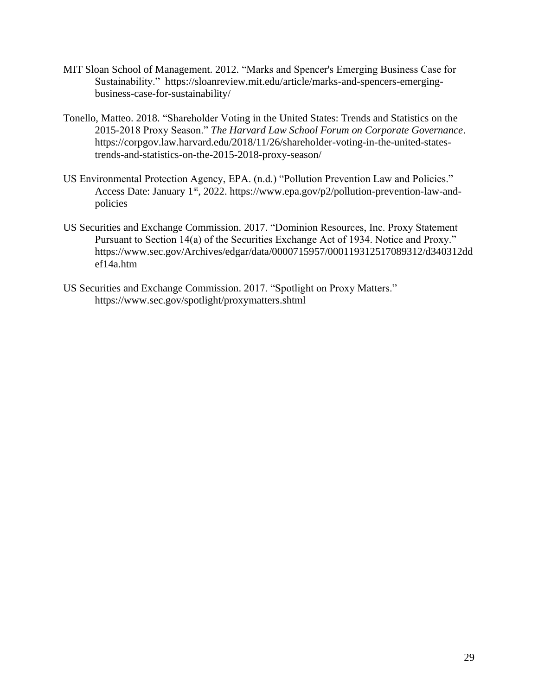- MIT Sloan School of Management. 2012. "Marks and Spencer's Emerging Business Case for Sustainability." https://sloanreview.mit.edu/article/marks-and-spencers-emergingbusiness-case-for-sustainability/
- Tonello, Matteo. 2018. "Shareholder Voting in the United States: Trends and Statistics on the 2015-2018 Proxy Season." *The Harvard Law School Forum on Corporate Governance*. https://corpgov.law.harvard.edu/2018/11/26/shareholder-voting-in-the-united-statestrends-and-statistics-on-the-2015-2018-proxy-season/
- US Environmental Protection Agency, EPA. (n.d.) "Pollution Prevention Law and Policies." Access Date: January 1<sup>st</sup>, 2022. https://www.epa.gov/p2/pollution-prevention-law-andpolicies
- US Securities and Exchange Commission. 2017. "Dominion Resources, Inc. Proxy Statement Pursuant to Section 14(a) of the Securities Exchange Act of 1934. Notice and Proxy." https://www.sec.gov/Archives/edgar/data/0000715957/000119312517089312/d340312dd ef14a.htm
- US Securities and Exchange Commission. 2017. "Spotlight on Proxy Matters." https://www.sec.gov/spotlight/proxymatters.shtml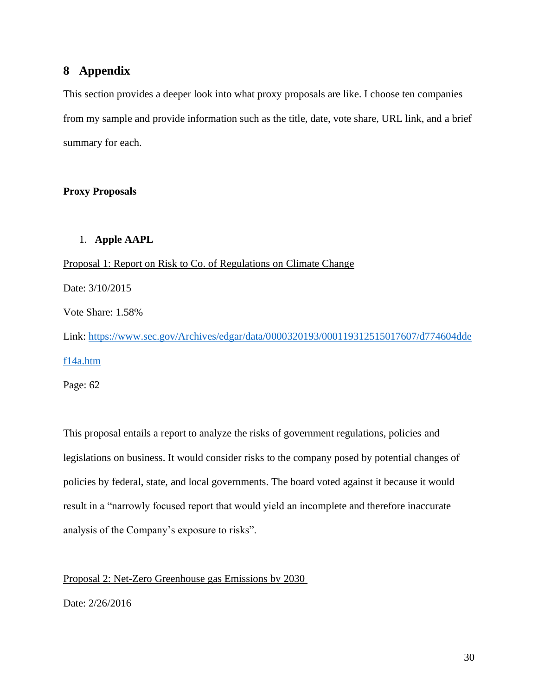## <span id="page-30-0"></span>**8 Appendix**

This section provides a deeper look into what proxy proposals are like. I choose ten companies from my sample and provide information such as the title, date, vote share, URL link, and a brief summary for each.

#### **Proxy Proposals**

#### 1. **Apple AAPL**

Proposal 1: Report on Risk to Co. of Regulations on Climate Change Date: 3/10/2015 Vote Share: 1.58% Link: [https://www.sec.gov/Archives/edgar/data/0000320193/000119312515017607/d774604dde](https://www.sec.gov/Archives/edgar/data/0000320193/000119312515017607/d774604ddef14a.htm) [f14a.htm](https://www.sec.gov/Archives/edgar/data/0000320193/000119312515017607/d774604ddef14a.htm)

Page: 62

This proposal entails a report to analyze the risks of government regulations, policies and legislations on business. It would consider risks to the company posed by potential changes of policies by federal, state, and local governments. The board voted against it because it would result in a "narrowly focused report that would yield an incomplete and therefore inaccurate analysis of the Company's exposure to risks".

#### Proposal 2: Net-Zero Greenhouse gas Emissions by 2030

Date: 2/26/2016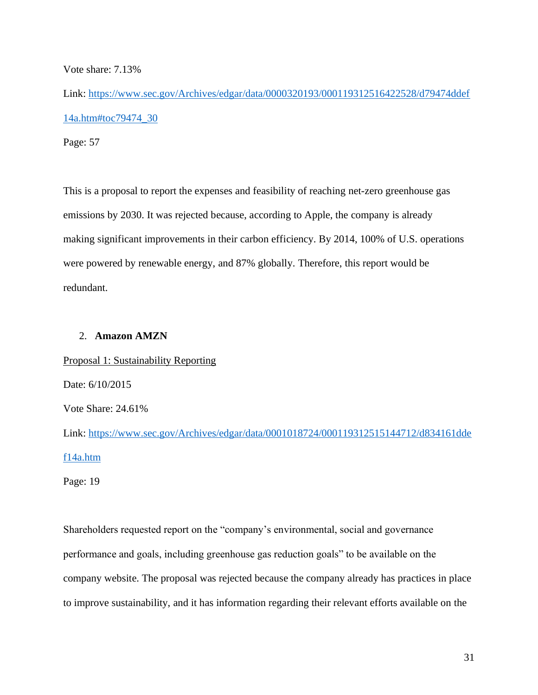Vote share: 7.13%

Link: [https://www.sec.gov/Archives/edgar/data/0000320193/000119312516422528/d79474ddef](https://www.sec.gov/Archives/edgar/data/0000320193/000119312516422528/d79474ddef14a.htm#toc79474_30) [14a.htm#toc79474\\_30](https://www.sec.gov/Archives/edgar/data/0000320193/000119312516422528/d79474ddef14a.htm#toc79474_30)

Page: 57

This is a proposal to report the expenses and feasibility of reaching net-zero greenhouse gas emissions by 2030. It was rejected because, according to Apple, the company is already making significant improvements in their carbon efficiency. By 2014, 100% of U.S. operations were powered by renewable energy, and 87% globally. Therefore, this report would be redundant.

#### 2. **Amazon AMZN**

Proposal 1: Sustainability Reporting Date: 6/10/2015 Vote Share: 24.61% Link: [https://www.sec.gov/Archives/edgar/data/0001018724/000119312515144712/d834161dde](https://www.sec.gov/Archives/edgar/data/0001018724/000119312515144712/d834161ddef14a.htm) [f14a.htm](https://www.sec.gov/Archives/edgar/data/0001018724/000119312515144712/d834161ddef14a.htm)

Page: 19

Shareholders requested report on the "company's environmental, social and governance performance and goals, including greenhouse gas reduction goals" to be available on the company website. The proposal was rejected because the company already has practices in place to improve sustainability, and it has information regarding their relevant efforts available on the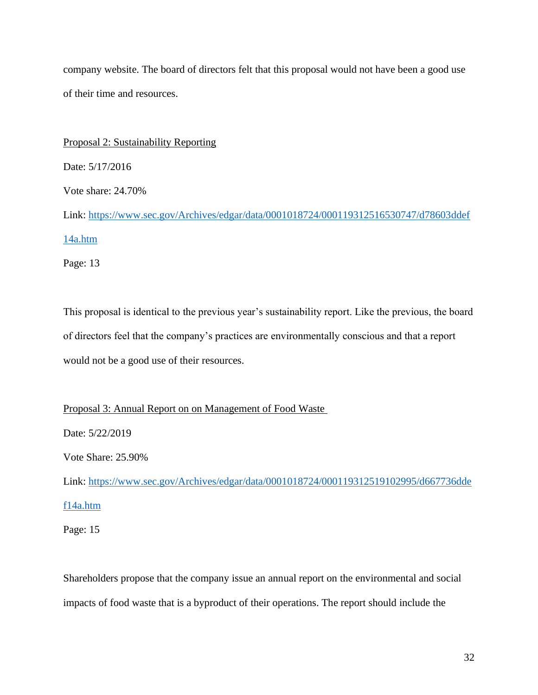company website. The board of directors felt that this proposal would not have been a good use of their time and resources.

Proposal 2: Sustainability Reporting Date: 5/17/2016 Vote share: 24.70% Link: [https://www.sec.gov/Archives/edgar/data/0001018724/000119312516530747/d78603ddef](https://www.sec.gov/Archives/edgar/data/0001018724/000119312516530747/d78603ddef14a.htm) [14a.htm](https://www.sec.gov/Archives/edgar/data/0001018724/000119312516530747/d78603ddef14a.htm) Page: 13

This proposal is identical to the previous year's sustainability report. Like the previous, the board of directors feel that the company's practices are environmentally conscious and that a report would not be a good use of their resources.

Proposal 3: Annual Report on on Management of Food Waste

Date: 5/22/2019

Vote Share: 25.90%

Link: [https://www.sec.gov/Archives/edgar/data/0001018724/000119312519102995/d667736dde](https://www.sec.gov/Archives/edgar/data/0001018724/000119312519102995/d667736ddef14a.htm) [f14a.htm](https://www.sec.gov/Archives/edgar/data/0001018724/000119312519102995/d667736ddef14a.htm)

Page: 15

Shareholders propose that the company issue an annual report on the environmental and social impacts of food waste that is a byproduct of their operations. The report should include the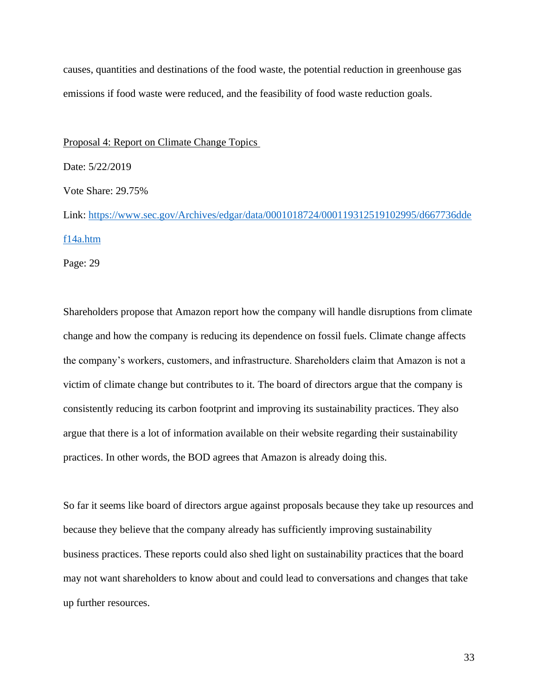causes, quantities and destinations of the food waste, the potential reduction in greenhouse gas emissions if food waste were reduced, and the feasibility of food waste reduction goals.

#### Proposal 4: Report on Climate Change Topics

Date: 5/22/2019

Vote Share: 29.75%

Link: [https://www.sec.gov/Archives/edgar/data/0001018724/000119312519102995/d667736dde](https://www.sec.gov/Archives/edgar/data/0001018724/000119312519102995/d667736ddef14a.htm) [f14a.htm](https://www.sec.gov/Archives/edgar/data/0001018724/000119312519102995/d667736ddef14a.htm)

Page: 29

Shareholders propose that Amazon report how the company will handle disruptions from climate change and how the company is reducing its dependence on fossil fuels. Climate change affects the company's workers, customers, and infrastructure. Shareholders claim that Amazon is not a victim of climate change but contributes to it. The board of directors argue that the company is consistently reducing its carbon footprint and improving its sustainability practices. They also argue that there is a lot of information available on their website regarding their sustainability practices. In other words, the BOD agrees that Amazon is already doing this.

So far it seems like board of directors argue against proposals because they take up resources and because they believe that the company already has sufficiently improving sustainability business practices. These reports could also shed light on sustainability practices that the board may not want shareholders to know about and could lead to conversations and changes that take up further resources.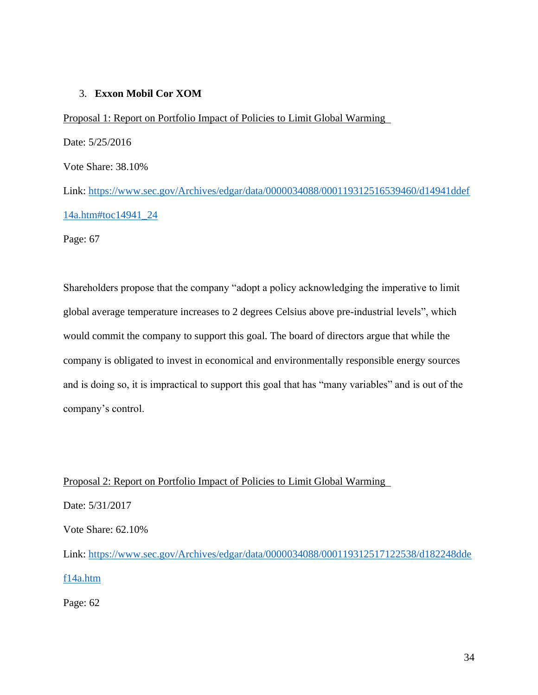## 3. **Exxon Mobil Cor XOM**

Proposal 1: Report on Portfolio Impact of Policies to Limit Global Warming Date: 5/25/2016 Vote Share: 38.10% Link: [https://www.sec.gov/Archives/edgar/data/0000034088/000119312516539460/d14941ddef](https://www.sec.gov/Archives/edgar/data/0000034088/000119312516539460/d14941ddef14a.htm#toc14941_24) [14a.htm#toc14941\\_24](https://www.sec.gov/Archives/edgar/data/0000034088/000119312516539460/d14941ddef14a.htm#toc14941_24) Page: 67

Shareholders propose that the company "adopt a policy acknowledging the imperative to limit global average temperature increases to 2 degrees Celsius above pre-industrial levels", which would commit the company to support this goal. The board of directors argue that while the company is obligated to invest in economical and environmentally responsible energy sources and is doing so, it is impractical to support this goal that has "many variables" and is out of the company's control.

Proposal 2: Report on Portfolio Impact of Policies to Limit Global Warming

Date: 5/31/2017

Vote Share: 62.10%

Link: [https://www.sec.gov/Archives/edgar/data/0000034088/000119312517122538/d182248dde](https://www.sec.gov/Archives/edgar/data/0000034088/000119312517122538/d182248ddef14a.htm) [f14a.htm](https://www.sec.gov/Archives/edgar/data/0000034088/000119312517122538/d182248ddef14a.htm)

Page: 62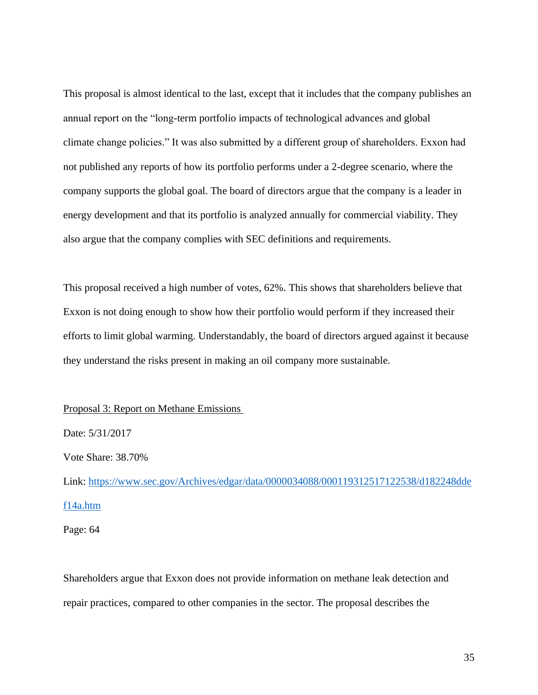This proposal is almost identical to the last, except that it includes that the company publishes an annual report on the "long-term portfolio impacts of technological advances and global climate change policies." It was also submitted by a different group of shareholders. Exxon had not published any reports of how its portfolio performs under a 2-degree scenario, where the company supports the global goal. The board of directors argue that the company is a leader in energy development and that its portfolio is analyzed annually for commercial viability. They also argue that the company complies with SEC definitions and requirements.

This proposal received a high number of votes, 62%. This shows that shareholders believe that Exxon is not doing enough to show how their portfolio would perform if they increased their efforts to limit global warming. Understandably, the board of directors argued against it because they understand the risks present in making an oil company more sustainable.

#### Proposal 3: Report on Methane Emissions

Date: 5/31/2017

Vote Share: 38.70%

Link: [https://www.sec.gov/Archives/edgar/data/0000034088/000119312517122538/d182248dde](https://www.sec.gov/Archives/edgar/data/0000034088/000119312517122538/d182248ddef14a.htm) [f14a.htm](https://www.sec.gov/Archives/edgar/data/0000034088/000119312517122538/d182248ddef14a.htm)

Page: 64

Shareholders argue that Exxon does not provide information on methane leak detection and repair practices, compared to other companies in the sector. The proposal describes the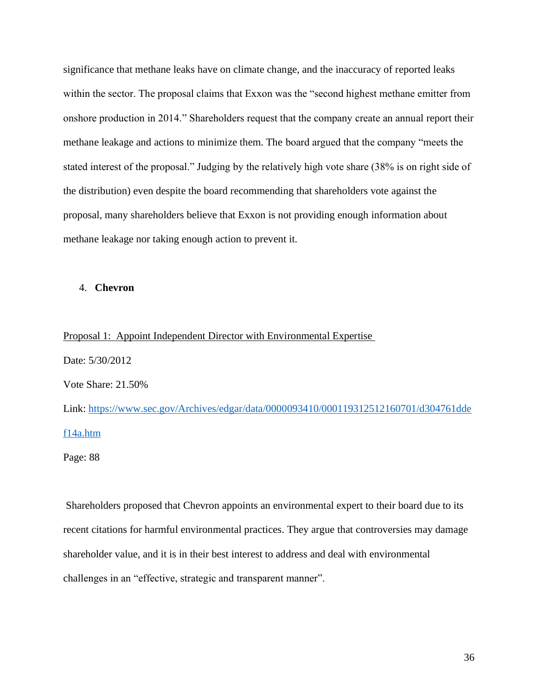significance that methane leaks have on climate change, and the inaccuracy of reported leaks within the sector. The proposal claims that Exxon was the "second highest methane emitter from onshore production in 2014." Shareholders request that the company create an annual report their methane leakage and actions to minimize them. The board argued that the company "meets the stated interest of the proposal." Judging by the relatively high vote share (38% is on right side of the distribution) even despite the board recommending that shareholders vote against the proposal, many shareholders believe that Exxon is not providing enough information about methane leakage nor taking enough action to prevent it.

#### 4. **Chevron**

#### Proposal 1: Appoint Independent Director with Environmental Expertise

Date: 5/30/2012 Vote Share: 21.50% Link: [https://www.sec.gov/Archives/edgar/data/0000093410/000119312512160701/d304761dde](https://www.sec.gov/Archives/edgar/data/0000093410/000119312512160701/d304761ddef14a.htm) [f14a.htm](https://www.sec.gov/Archives/edgar/data/0000093410/000119312512160701/d304761ddef14a.htm)

Page: 88

Shareholders proposed that Chevron appoints an environmental expert to their board due to its recent citations for harmful environmental practices. They argue that controversies may damage shareholder value, and it is in their best interest to address and deal with environmental challenges in an "effective, strategic and transparent manner".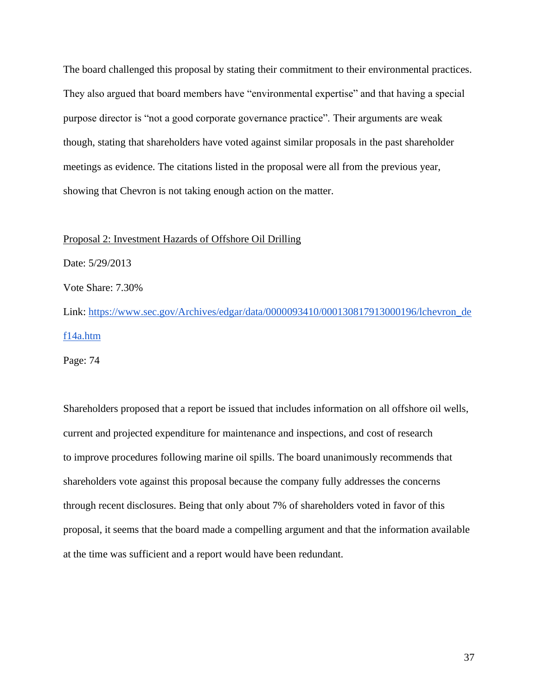The board challenged this proposal by stating their commitment to their environmental practices. They also argued that board members have "environmental expertise" and that having a special purpose director is "not a good corporate governance practice". Their arguments are weak though, stating that shareholders have voted against similar proposals in the past shareholder meetings as evidence. The citations listed in the proposal were all from the previous year, showing that Chevron is not taking enough action on the matter.

#### Proposal 2: Investment Hazards of Offshore Oil Drilling

Date: 5/29/2013 Vote Share: 7.30%

Link: [https://www.sec.gov/Archives/edgar/data/0000093410/000130817913000196/lchevron\\_de](https://www.sec.gov/Archives/edgar/data/0000093410/000130817913000196/lchevron_def14a.htm) [f14a.htm](https://www.sec.gov/Archives/edgar/data/0000093410/000130817913000196/lchevron_def14a.htm)

Page: 74

Shareholders proposed that a report be issued that includes information on all offshore oil wells, current and projected expenditure for maintenance and inspections, and cost of research to improve procedures following marine oil spills. The board unanimously recommends that shareholders vote against this proposal because the company fully addresses the concerns through recent disclosures. Being that only about 7% of shareholders voted in favor of this proposal, it seems that the board made a compelling argument and that the information available at the time was sufficient and a report would have been redundant.

37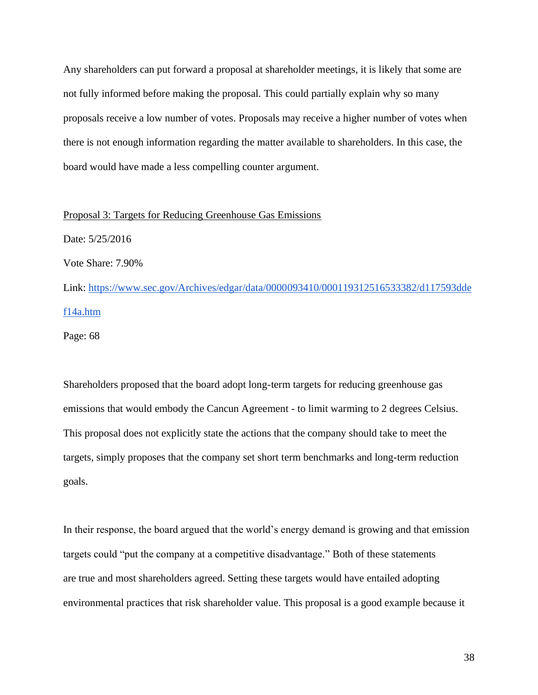Any shareholders can put forward a proposal at shareholder meetings, it is likely that some are not fully informed before making the proposal. This could partially explain why so many proposals receive a low number of votes. Proposals may receive a higher number of votes when there is not enough information regarding the matter available to shareholders. In this case, the board would have made a less compelling counter argument.

#### Proposal 3: Targets for Reducing Greenhouse Gas Emissions

Date: 5/25/2016 Vote Share: 7.90%

Link: [https://www.sec.gov/Archives/edgar/data/0000093410/000119312516533382/d117593dde](https://www.sec.gov/Archives/edgar/data/0000093410/000119312516533382/d117593ddef14a.htm) [f14a.htm](https://www.sec.gov/Archives/edgar/data/0000093410/000119312516533382/d117593ddef14a.htm)

Page: 68

Shareholders proposed that the board adopt long-term targets for reducing greenhouse gas emissions that would embody the Cancun Agreement - to limit warming to 2 degrees Celsius. This proposal does not explicitly state the actions that the company should take to meet the targets, simply proposes that the company set short term benchmarks and long-term reduction goals.

In their response, the board argued that the world's energy demand is growing and that emission targets could "put the company at a competitive disadvantage." Both of these statements are true and most shareholders agreed. Setting these targets would have entailed adopting environmental practices that risk shareholder value. This proposal is a good example because it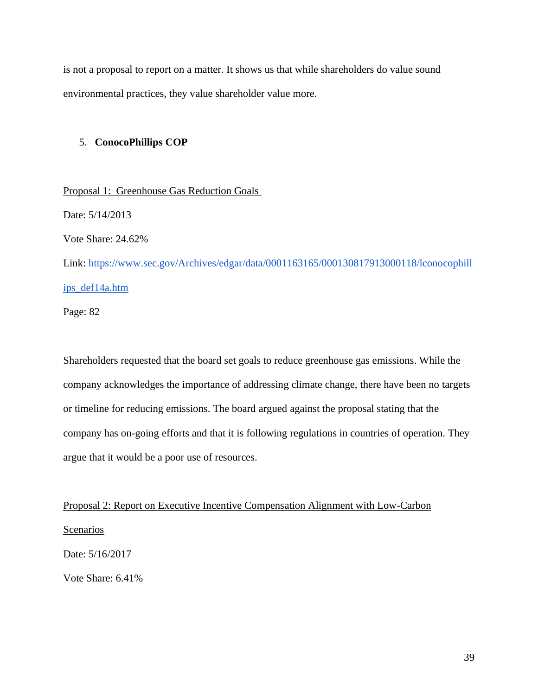is not a proposal to report on a matter. It shows us that while shareholders do value sound environmental practices, they value shareholder value more.

#### 5. **ConocoPhillips COP**

Proposal 1: Greenhouse Gas Reduction Goals Date: 5/14/2013 Vote Share: 24.62% Link: [https://www.sec.gov/Archives/edgar/data/0001163165/000130817913000118/lconocophill](https://www.sec.gov/Archives/edgar/data/0001163165/000130817913000118/lconocophillips_def14a.htm) [ips\\_def14a.htm](https://www.sec.gov/Archives/edgar/data/0001163165/000130817913000118/lconocophillips_def14a.htm)

Page: 82

Shareholders requested that the board set goals to reduce greenhouse gas emissions. While the company acknowledges the importance of addressing climate change, there have been no targets or timeline for reducing emissions. The board argued against the proposal stating that the company has on-going efforts and that it is following regulations in countries of operation. They argue that it would be a poor use of resources.

Proposal 2: Report on Executive Incentive Compensation Alignment with Low-Carbon

Scenarios

Date: 5/16/2017

Vote Share: 6.41%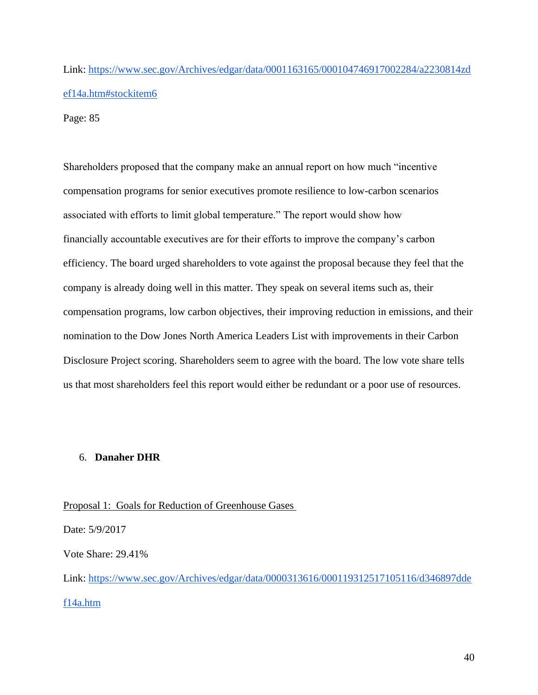Link: [https://www.sec.gov/Archives/edgar/data/0001163165/000104746917002284/a2230814zd](https://www.sec.gov/Archives/edgar/data/0001163165/000104746917002284/a2230814zdef14a.htm#stockitem6) [ef14a.htm#stockitem6](https://www.sec.gov/Archives/edgar/data/0001163165/000104746917002284/a2230814zdef14a.htm#stockitem6)

Page: 85

Shareholders proposed that the company make an annual report on how much "incentive compensation programs for senior executives promote resilience to low-carbon scenarios associated with efforts to limit global temperature." The report would show how financially accountable executives are for their efforts to improve the company's carbon efficiency. The board urged shareholders to vote against the proposal because they feel that the company is already doing well in this matter. They speak on several items such as, their compensation programs, low carbon objectives, their improving reduction in emissions, and their nomination to the Dow Jones North America Leaders List with improvements in their Carbon Disclosure Project scoring. Shareholders seem to agree with the board. The low vote share tells us that most shareholders feel this report would either be redundant or a poor use of resources.

#### 6. **Danaher DHR**

Proposal 1: Goals for Reduction of Greenhouse Gases

Date: 5/9/2017

Vote Share: 29.41%

Link: [https://www.sec.gov/Archives/edgar/data/0000313616/000119312517105116/d346897dde](https://www.sec.gov/Archives/edgar/data/0000313616/000119312517105116/d346897ddef14a.htm) [f14a.htm](https://www.sec.gov/Archives/edgar/data/0000313616/000119312517105116/d346897ddef14a.htm)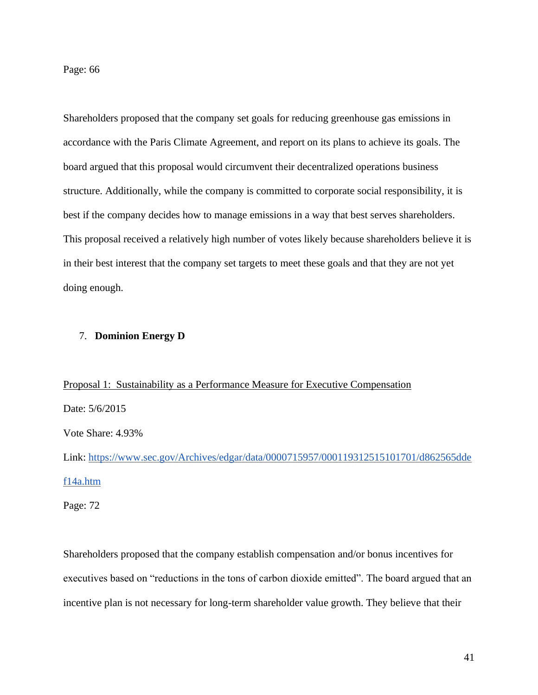Page: 66

Shareholders proposed that the company set goals for reducing greenhouse gas emissions in accordance with the Paris Climate Agreement, and report on its plans to achieve its goals. The board argued that this proposal would circumvent their decentralized operations business structure. Additionally, while the company is committed to corporate social responsibility, it is best if the company decides how to manage emissions in a way that best serves shareholders. This proposal received a relatively high number of votes likely because shareholders believe it is in their best interest that the company set targets to meet these goals and that they are not yet doing enough.

#### 7. **Dominion Energy D**

# Proposal 1: Sustainability as a Performance Measure for Executive Compensation

Date: 5/6/2015

Vote Share: 4.93%

Link: [https://www.sec.gov/Archives/edgar/data/0000715957/000119312515101701/d862565dde](https://www.sec.gov/Archives/edgar/data/0000715957/000119312515101701/d862565ddef14a.htm) [f14a.htm](https://www.sec.gov/Archives/edgar/data/0000715957/000119312515101701/d862565ddef14a.htm)

Page: 72

Shareholders proposed that the company establish compensation and/or bonus incentives for executives based on "reductions in the tons of carbon dioxide emitted". The board argued that an incentive plan is not necessary for long-term shareholder value growth. They believe that their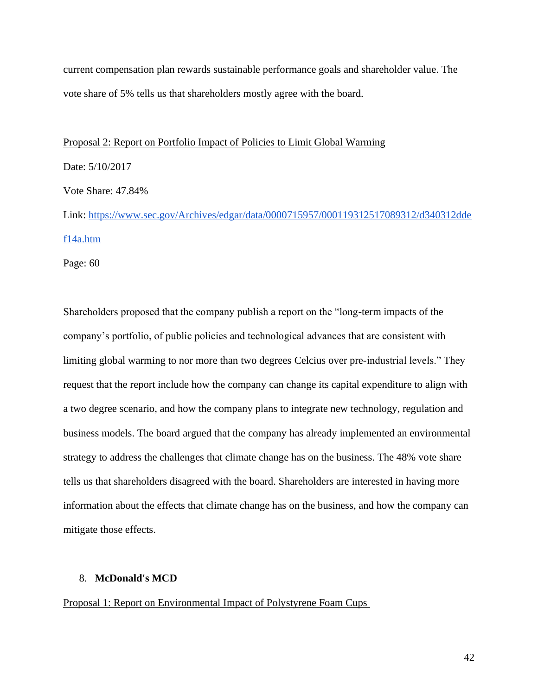current compensation plan rewards sustainable performance goals and shareholder value. The vote share of 5% tells us that shareholders mostly agree with the board.

#### Proposal 2: Report on Portfolio Impact of Policies to Limit Global Warming

Date: 5/10/2017

Vote Share: 47.84%

Link: [https://www.sec.gov/Archives/edgar/data/0000715957/000119312517089312/d340312dde](https://www.sec.gov/Archives/edgar/data/0000715957/000119312517089312/d340312ddef14a.htm) [f14a.htm](https://www.sec.gov/Archives/edgar/data/0000715957/000119312517089312/d340312ddef14a.htm)

Page: 60

Shareholders proposed that the company publish a report on the "long-term impacts of the company's portfolio, of public policies and technological advances that are consistent with limiting global warming to nor more than two degrees Celcius over pre-industrial levels." They request that the report include how the company can change its capital expenditure to align with a two degree scenario, and how the company plans to integrate new technology, regulation and business models. The board argued that the company has already implemented an environmental strategy to address the challenges that climate change has on the business. The 48% vote share tells us that shareholders disagreed with the board. Shareholders are interested in having more information about the effects that climate change has on the business, and how the company can mitigate those effects.

#### 8. **McDonald's MCD**

Proposal 1: Report on Environmental Impact of Polystyrene Foam Cups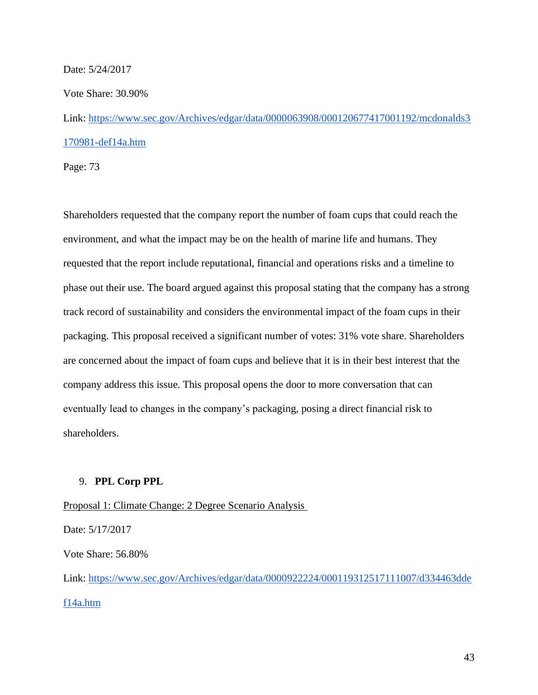#### Date: 5/24/2017

Vote Share: 30.90%

Link: [https://www.sec.gov/Archives/edgar/data/0000063908/000120677417001192/mcdonalds3](https://www.sec.gov/Archives/edgar/data/0000063908/000120677417001192/mcdonalds3170981-def14a.htm) [170981-def14a.htm](https://www.sec.gov/Archives/edgar/data/0000063908/000120677417001192/mcdonalds3170981-def14a.htm)

Page: 73

Shareholders requested that the company report the number of foam cups that could reach the environment, and what the impact may be on the health of marine life and humans. They requested that the report include reputational, financial and operations risks and a timeline to phase out their use. The board argued against this proposal stating that the company has a strong track record of sustainability and considers the environmental impact of the foam cups in their packaging. This proposal received a significant number of votes: 31% vote share. Shareholders are concerned about the impact of foam cups and believe that it is in their best interest that the company address this issue. This proposal opens the door to more conversation that can eventually lead to changes in the company's packaging, posing a direct financial risk to shareholders.

#### 9. **PPL Corp PPL**

Proposal 1: Climate Change: 2 Degree Scenario Analysis

Date: 5/17/2017

Vote Share: 56.80%

Link: [https://www.sec.gov/Archives/edgar/data/0000922224/000119312517111007/d334463dde](https://www.sec.gov/Archives/edgar/data/0000922224/000119312517111007/d334463ddef14a.htm) [f14a.htm](https://www.sec.gov/Archives/edgar/data/0000922224/000119312517111007/d334463ddef14a.htm)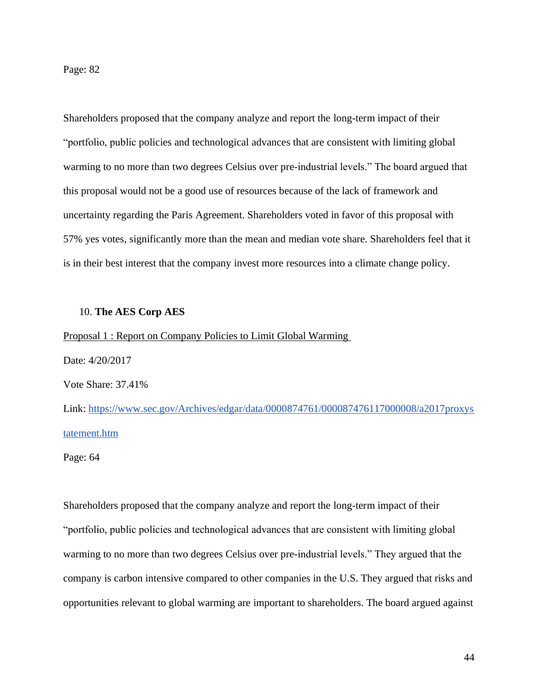Page: 82

Shareholders proposed that the company analyze and report the long-term impact of their "portfolio, public policies and technological advances that are consistent with limiting global warming to no more than two degrees Celsius over pre-industrial levels." The board argued that this proposal would not be a good use of resources because of the lack of framework and uncertainty regarding the Paris Agreement. Shareholders voted in favor of this proposal with 57% yes votes, significantly more than the mean and median vote share. Shareholders feel that it is in their best interest that the company invest more resources into a climate change policy.

#### 10. **The AES Corp AES**

#### Proposal 1 : Report on Company Policies to Limit Global Warming

Date: 4/20/2017

Vote Share: 37.41%

Link: [https://www.sec.gov/Archives/edgar/data/0000874761/000087476117000008/a2017proxys](https://www.sec.gov/Archives/edgar/data/0000874761/000087476117000008/a2017proxystatement.htm) [tatement.htm](https://www.sec.gov/Archives/edgar/data/0000874761/000087476117000008/a2017proxystatement.htm)

Page: 64

Shareholders proposed that the company analyze and report the long-term impact of their "portfolio, public policies and technological advances that are consistent with limiting global warming to no more than two degrees Celsius over pre-industrial levels." They argued that the company is carbon intensive compared to other companies in the U.S. They argued that risks and opportunities relevant to global warming are important to shareholders. The board argued against